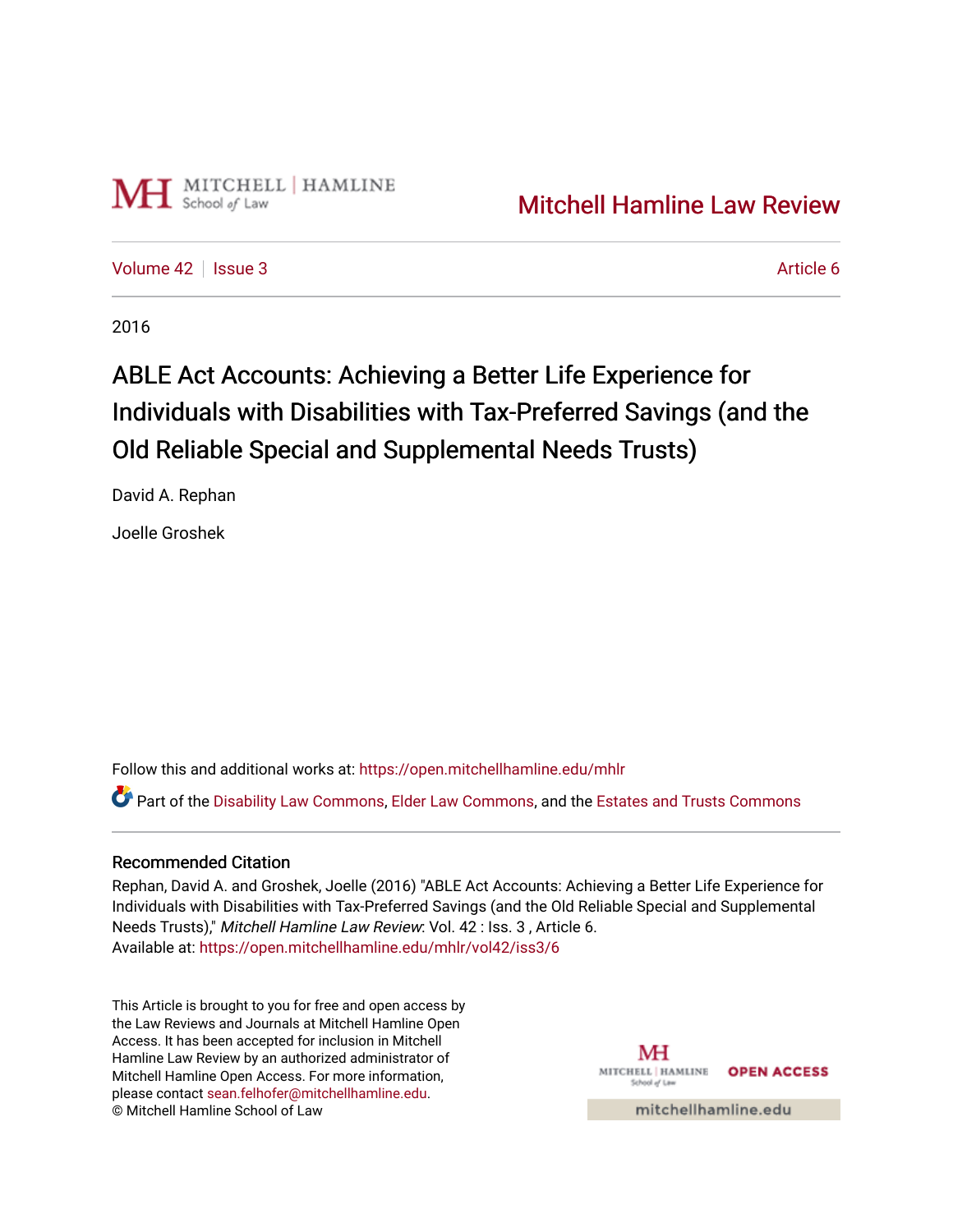

[Volume 42](https://open.mitchellhamline.edu/mhlr/vol42) | [Issue 3](https://open.mitchellhamline.edu/mhlr/vol42/iss3) Article 6

2016

# ABLE Act Accounts: Achieving a Better Life Experience for Individuals with Disabilities with Tax-Preferred Savings (and the Old Reliable Special and Supplemental Needs Trusts)

David A. Rephan

Joelle Groshek

Follow this and additional works at: [https://open.mitchellhamline.edu/mhlr](https://open.mitchellhamline.edu/mhlr?utm_source=open.mitchellhamline.edu%2Fmhlr%2Fvol42%2Fiss3%2F6&utm_medium=PDF&utm_campaign=PDFCoverPages) 

Part of the [Disability Law Commons](http://network.bepress.com/hgg/discipline/1074?utm_source=open.mitchellhamline.edu%2Fmhlr%2Fvol42%2Fiss3%2F6&utm_medium=PDF&utm_campaign=PDFCoverPages), [Elder Law Commons](http://network.bepress.com/hgg/discipline/842?utm_source=open.mitchellhamline.edu%2Fmhlr%2Fvol42%2Fiss3%2F6&utm_medium=PDF&utm_campaign=PDFCoverPages), and the [Estates and Trusts Commons](http://network.bepress.com/hgg/discipline/906?utm_source=open.mitchellhamline.edu%2Fmhlr%2Fvol42%2Fiss3%2F6&utm_medium=PDF&utm_campaign=PDFCoverPages) 

# Recommended Citation

Rephan, David A. and Groshek, Joelle (2016) "ABLE Act Accounts: Achieving a Better Life Experience for Individuals with Disabilities with Tax-Preferred Savings (and the Old Reliable Special and Supplemental Needs Trusts)," Mitchell Hamline Law Review: Vol. 42 : Iss. 3 , Article 6. Available at: [https://open.mitchellhamline.edu/mhlr/vol42/iss3/6](https://open.mitchellhamline.edu/mhlr/vol42/iss3/6?utm_source=open.mitchellhamline.edu%2Fmhlr%2Fvol42%2Fiss3%2F6&utm_medium=PDF&utm_campaign=PDFCoverPages) 

This Article is brought to you for free and open access by the Law Reviews and Journals at Mitchell Hamline Open Access. It has been accepted for inclusion in Mitchell Hamline Law Review by an authorized administrator of Mitchell Hamline Open Access. For more information, please contact [sean.felhofer@mitchellhamline.edu.](mailto:sean.felhofer@mitchellhamline.edu) © Mitchell Hamline School of Law

MH MITCHELL | HAMLINE **OPEN ACCESS** School of La

mitchellhamline.edu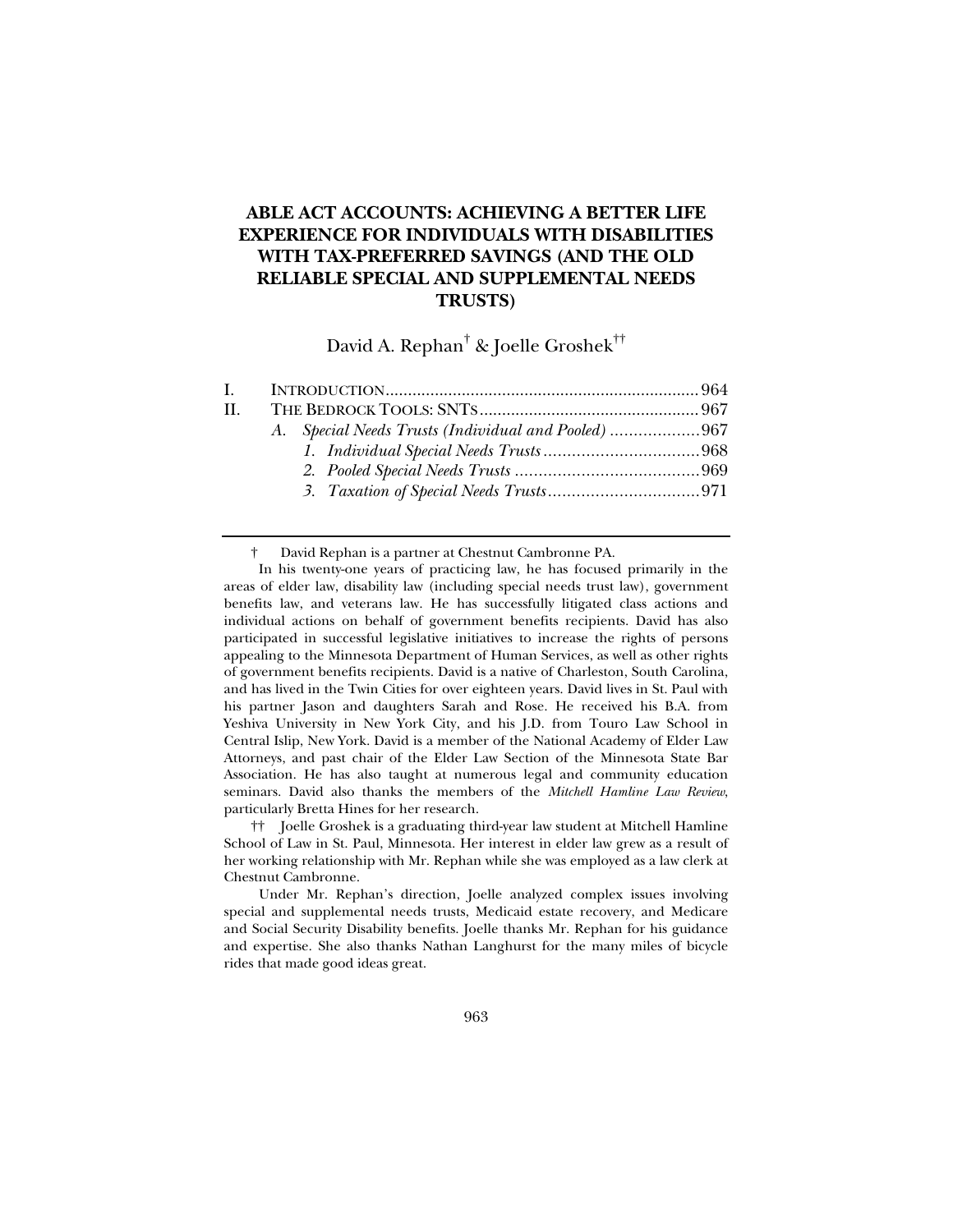# **ABLE ACT ACCOUNTS: ACHIEVING A BETTER LIFE EXPERIENCE FOR INDIVIDUALS WITH DISABILITIES WITH TAX-PREFERRED SAVINGS (AND THE OLD RELIABLE SPECIAL AND SUPPLEMENTAL NEEDS TRUSTS)**

David A. Rephan $^\dagger$  & Joelle Groshek $^{\dagger\dagger}$ 

| $\mathbf{I}$ . |                                                     |  |
|----------------|-----------------------------------------------------|--|
| H.             |                                                     |  |
|                | A. Special Needs Trusts (Individual and Pooled) 967 |  |
|                |                                                     |  |
|                |                                                     |  |
|                |                                                     |  |
|                |                                                     |  |

† David Rephan is a partner at Chestnut Cambronne PA.

In his twenty-one years of practicing law, he has focused primarily in the areas of elder law, disability law (including special needs trust law), government benefits law, and veterans law. He has successfully litigated class actions and individual actions on behalf of government benefits recipients. David has also participated in successful legislative initiatives to increase the rights of persons appealing to the Minnesota Department of Human Services, as well as other rights of government benefits recipients. David is a native of Charleston, South Carolina, and has lived in the Twin Cities for over eighteen years. David lives in St. Paul with his partner Jason and daughters Sarah and Rose. He received his B.A. from Yeshiva University in New York City, and his J.D. from Touro Law School in Central Islip, New York. David is a member of the National Academy of Elder Law Attorneys, and past chair of the Elder Law Section of the Minnesota State Bar Association. He has also taught at numerous legal and community education seminars. David also thanks the members of the *Mitchell Hamline Law Review*, particularly Bretta Hines for her research.

 †† Joelle Groshek is a graduating third-year law student at Mitchell Hamline School of Law in St. Paul, Minnesota. Her interest in elder law grew as a result of her working relationship with Mr. Rephan while she was employed as a law clerk at Chestnut Cambronne.

Under Mr. Rephan's direction, Joelle analyzed complex issues involving special and supplemental needs trusts, Medicaid estate recovery, and Medicare and Social Security Disability benefits. Joelle thanks Mr. Rephan for his guidance and expertise. She also thanks Nathan Langhurst for the many miles of bicycle rides that made good ideas great.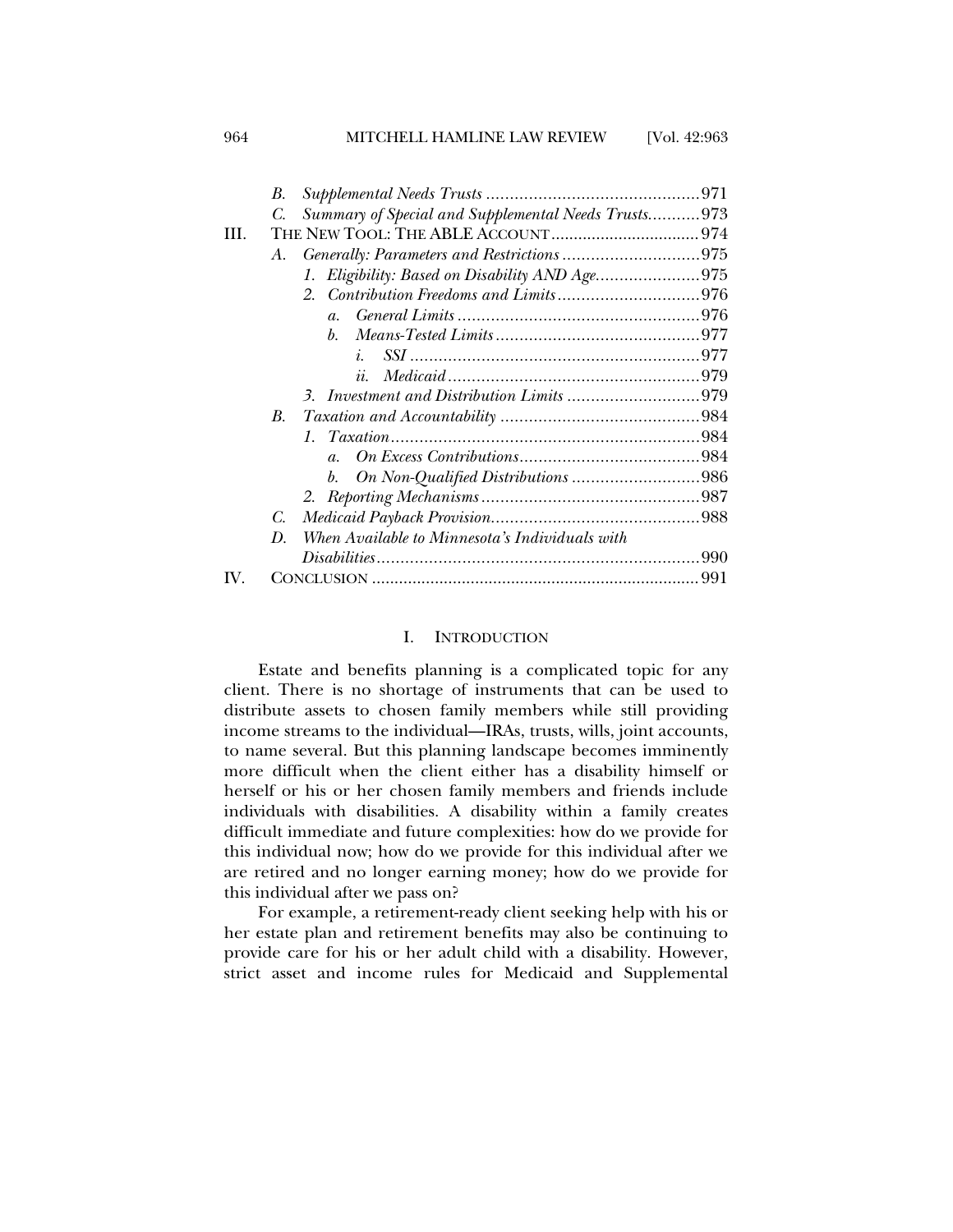964 MITCHELL HAMLINE LAW REVIEW [Vol. 42:963

|     | В. |                                                     |  |
|-----|----|-----------------------------------------------------|--|
|     | C. | Summary of Special and Supplemental Needs Trusts973 |  |
| HL. |    |                                                     |  |
|     | А. |                                                     |  |
|     |    | 1. Eligibility: Based on Disability AND Age975      |  |
|     |    |                                                     |  |
|     |    | $a_{\cdot}$                                         |  |
|     |    | $h_{\cdot}$                                         |  |
|     |    | $\dot{i}$                                           |  |
|     |    | ii.                                                 |  |
|     |    |                                                     |  |
|     | B. |                                                     |  |
|     |    |                                                     |  |
|     |    | $a_{\cdot}$                                         |  |
|     |    |                                                     |  |
|     |    |                                                     |  |
|     | C. |                                                     |  |
|     | D. | When Available to Minnesota's Individuals with      |  |
|     |    |                                                     |  |
|     |    |                                                     |  |

# I. INTRODUCTION

Estate and benefits planning is a complicated topic for any client. There is no shortage of instruments that can be used to distribute assets to chosen family members while still providing income streams to the individual—IRAs, trusts, wills, joint accounts, to name several. But this planning landscape becomes imminently more difficult when the client either has a disability himself or herself or his or her chosen family members and friends include individuals with disabilities. A disability within a family creates difficult immediate and future complexities: how do we provide for this individual now; how do we provide for this individual after we are retired and no longer earning money; how do we provide for this individual after we pass on?

For example, a retirement-ready client seeking help with his or her estate plan and retirement benefits may also be continuing to provide care for his or her adult child with a disability. However, strict asset and income rules for Medicaid and Supplemental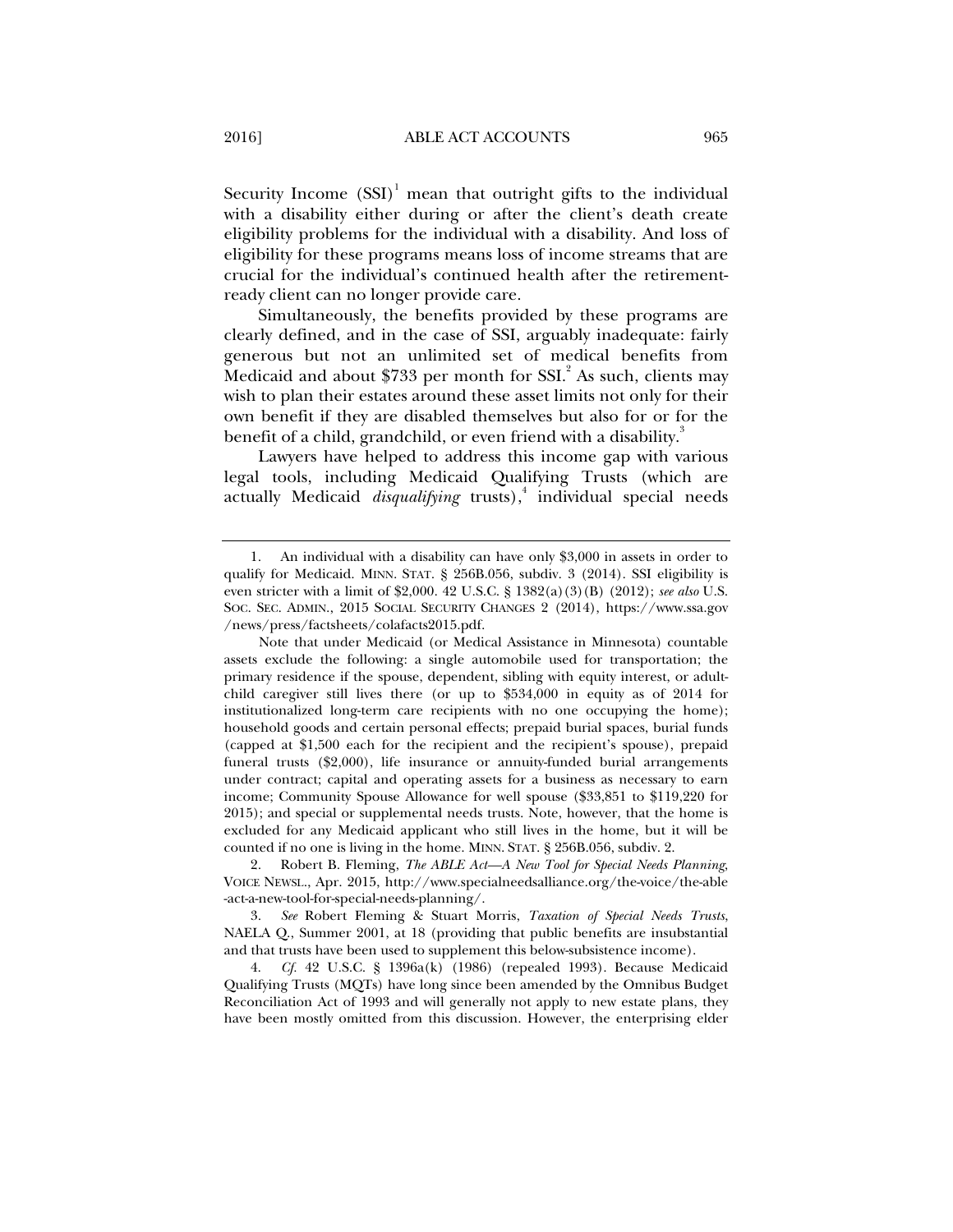Security Income  $(SSI)^1$  mean that outright gifts to the individual with a disability either during or after the client's death create eligibility problems for the individual with a disability. And loss of eligibility for these programs means loss of income streams that are crucial for the individual's continued health after the retirementready client can no longer provide care.

Simultaneously, the benefits provided by these programs are clearly defined, and in the case of SSI, arguably inadequate: fairly generous but not an unlimited set of medical benefits from Medicaid and about \$733 per month for SSI. $^{2}$  As such, clients may wish to plan their estates around these asset limits not only for their own benefit if they are disabled themselves but also for or for the benefit of a child, grandchild, or even friend with a disability.<sup>3</sup>

Lawyers have helped to address this income gap with various legal tools, including Medicaid Qualifying Trusts (which are actually Medicaid *disqualifying* trusts),<sup>4</sup> individual special needs

 <sup>1.</sup> An individual with a disability can have only \$3,000 in assets in order to qualify for Medicaid. MINN. STAT. § 256B.056, subdiv. 3 (2014). SSI eligibility is even stricter with a limit of \$2,000. 42 U.S.C. § 1382(a)(3)(B) (2012); *see also* U.S. SOC. SEC. ADMIN., 2015 SOCIAL SECURITY CHANGES 2 (2014), https://www.ssa.gov /news/press/factsheets/colafacts2015.pdf.

Note that under Medicaid (or Medical Assistance in Minnesota) countable assets exclude the following: a single automobile used for transportation; the primary residence if the spouse, dependent, sibling with equity interest, or adultchild caregiver still lives there (or up to \$534,000 in equity as of 2014 for institutionalized long-term care recipients with no one occupying the home); household goods and certain personal effects; prepaid burial spaces, burial funds (capped at \$1,500 each for the recipient and the recipient's spouse), prepaid funeral trusts (\$2,000), life insurance or annuity-funded burial arrangements under contract; capital and operating assets for a business as necessary to earn income; Community Spouse Allowance for well spouse (\$33,851 to \$119,220 for 2015); and special or supplemental needs trusts. Note, however, that the home is excluded for any Medicaid applicant who still lives in the home, but it will be counted if no one is living in the home. MINN. STAT. § 256B.056, subdiv. 2.

 <sup>2.</sup> Robert B. Fleming, *The ABLE Act—A New Tool for Special Needs Planning*, VOICE NEWSL., Apr. 2015, http://www.specialneedsalliance.org/the-voice/the-able -act-a-new-tool-for-special-needs-planning/.

 <sup>3.</sup> *See* Robert Fleming & Stuart Morris, *Taxation of Special Needs Trusts*, NAELA Q., Summer 2001, at 18 (providing that public benefits are insubstantial and that trusts have been used to supplement this below-subsistence income).

 <sup>4.</sup> *Cf.* 42 U.S.C. § 1396a(k) (1986) (repealed 1993). Because Medicaid Qualifying Trusts (MQTs) have long since been amended by the Omnibus Budget Reconciliation Act of 1993 and will generally not apply to new estate plans, they have been mostly omitted from this discussion. However, the enterprising elder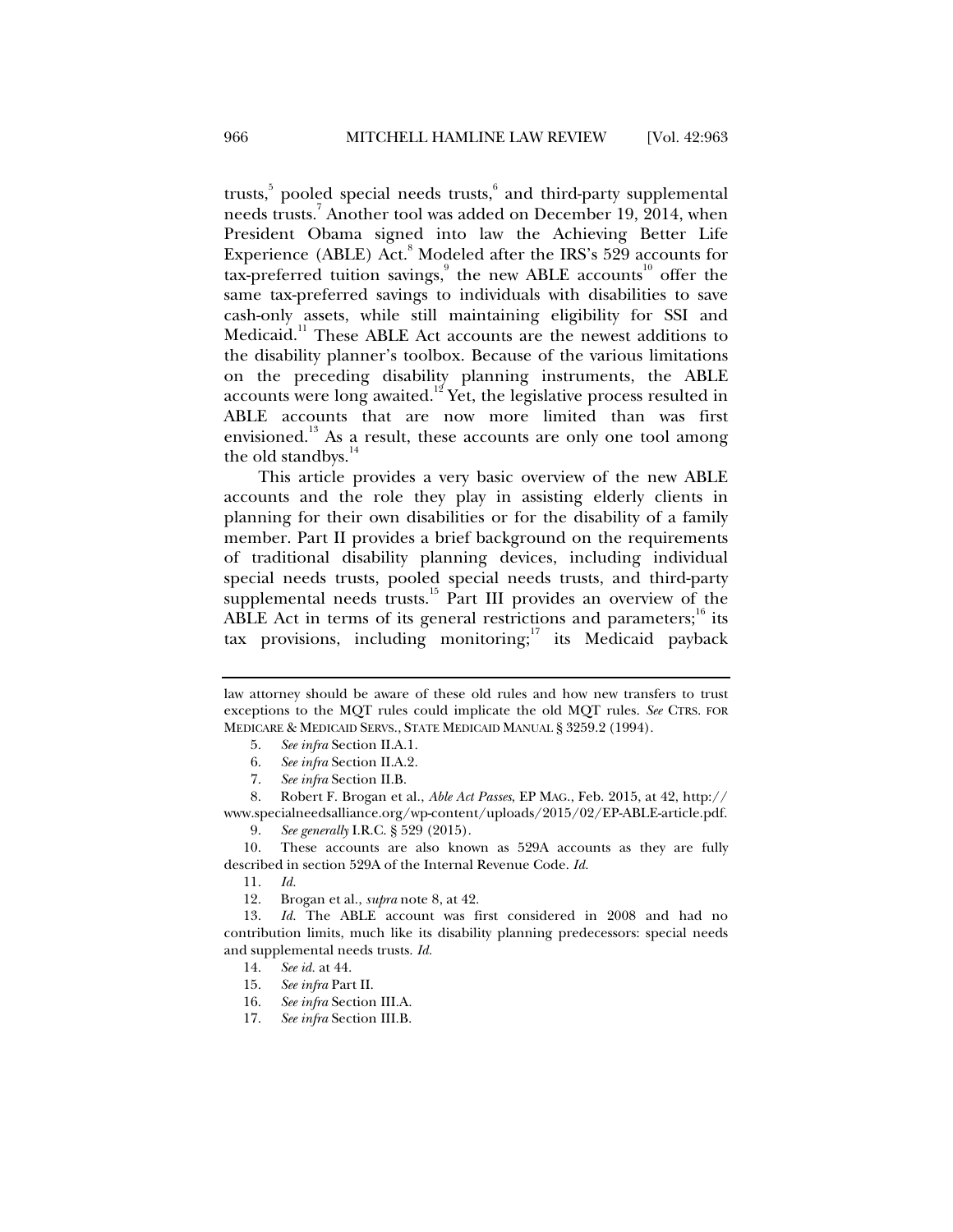trusts,<sup>5</sup> pooled special needs trusts,<sup>6</sup> and third-party supplemental needs trusts.7 Another tool was added on December 19, 2014, when President Obama signed into law the Achieving Better Life Experience (ABLE) Act.<sup>8</sup> Modeled after the IRS's 529 accounts for tax-preferred tuition savings,<sup>9</sup> the new ABLE accounts<sup>10</sup> offer the same tax-preferred savings to individuals with disabilities to save cash-only assets, while still maintaining eligibility for SSI and Medicaid.<sup>11</sup> These ABLE Act accounts are the newest additions to the disability planner's toolbox. Because of the various limitations on the preceding disability planning instruments, the ABLE accounts were long awaited.<sup>12</sup> Yet, the legislative process resulted in ABLE accounts that are now more limited than was first envisioned.<sup>13</sup> As a result, these accounts are only one tool among the old standbys.<sup>14</sup>

This article provides a very basic overview of the new ABLE accounts and the role they play in assisting elderly clients in planning for their own disabilities or for the disability of a family member. Part II provides a brief background on the requirements of traditional disability planning devices, including individual special needs trusts, pooled special needs trusts, and third-party supplemental needs trusts.<sup>15</sup> Part III provides an overview of the ABLE Act in terms of its general restrictions and parameters;  $^{16}$  its tax provisions, including monitoring; $17$  its Medicaid payback

- 5. *See infra* Section II.A.1.
- 6. *See infra* Section II.A.2.
- 7. *See infra* Section II.B.

 10. These accounts are also known as 529A accounts as they are fully described in section 529A of the Internal Revenue Code. *Id.*

- 14. *See id.* at 44.
- 15. *See infra* Part II.
- 16. *See infra* Section III.A.
- 17. *See infra* Section III.B.

law attorney should be aware of these old rules and how new transfers to trust exceptions to the MQT rules could implicate the old MQT rules. *See* CTRS. FOR MEDICARE & MEDICAID SERVS., STATE MEDICAID MANUAL § 3259.2 (1994).

 <sup>8.</sup> Robert F. Brogan et al., *Able Act Passes*, EP MAG., Feb. 2015, at 42, http:// www.specialneedsalliance.org/wp-content/uploads/2015/02/EP-ABLE-article.pdf.

 <sup>9.</sup> *See generally* I.R.C. § 529 (2015).

 <sup>11.</sup> *Id.*

 <sup>12.</sup> Brogan et al., *supra* note 8, at 42.

 <sup>13.</sup> *Id.* The ABLE account was first considered in 2008 and had no contribution limits, much like its disability planning predecessors: special needs and supplemental needs trusts. *Id.*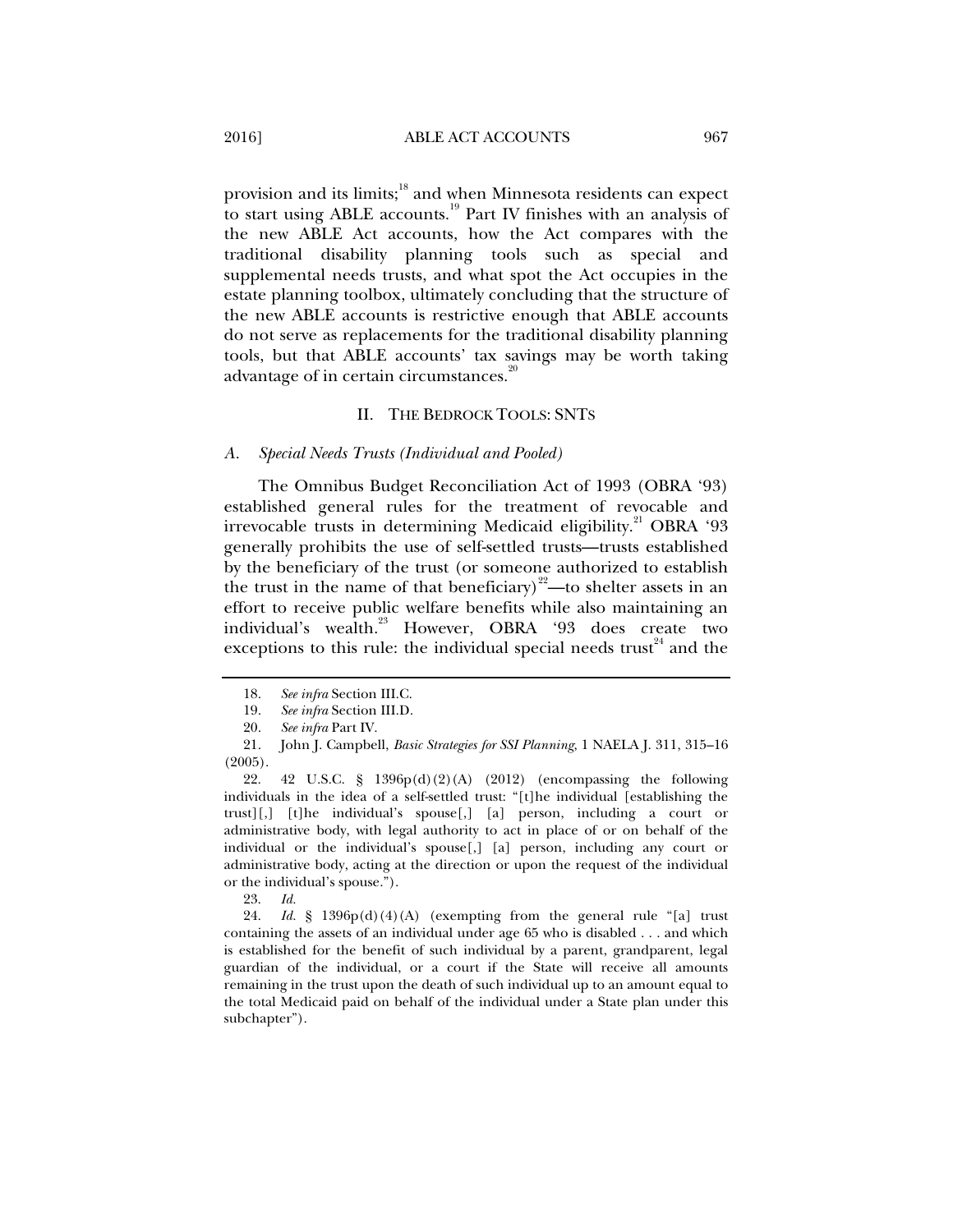provision and its limits;<sup>18</sup> and when Minnesota residents can expect to start using ABLE accounts.19 Part IV finishes with an analysis of the new ABLE Act accounts, how the Act compares with the traditional disability planning tools such as special and supplemental needs trusts, and what spot the Act occupies in the estate planning toolbox, ultimately concluding that the structure of the new ABLE accounts is restrictive enough that ABLE accounts do not serve as replacements for the traditional disability planning tools, but that ABLE accounts' tax savings may be worth taking advantage of in certain circumstances.<sup>20</sup>

#### II. THE BEDROCK TOOLS: SNTS

#### *A. Special Needs Trusts (Individual and Pooled)*

The Omnibus Budget Reconciliation Act of 1993 (OBRA '93) established general rules for the treatment of revocable and irrevocable trusts in determining Medicaid eligibility.<sup>21</sup> OBRA '93 generally prohibits the use of self-settled trusts—trusts established by the beneficiary of the trust (or someone authorized to establish the trust in the name of that beneficiary)<sup>22</sup>—to shelter assets in an effort to receive public welfare benefits while also maintaining an individual's wealth.<sup>23</sup> However, OBRA '93 does create two exceptions to this rule: the individual special needs trust<sup> $24$ </sup> and the

23. *Id.*

 24. *Id.* § 1396p(d)(4)(A) (exempting from the general rule "[a] trust containing the assets of an individual under age 65 who is disabled . . . and which is established for the benefit of such individual by a parent, grandparent, legal guardian of the individual, or a court if the State will receive all amounts remaining in the trust upon the death of such individual up to an amount equal to the total Medicaid paid on behalf of the individual under a State plan under this subchapter").

 <sup>18.</sup> *See infra* Section III.C.

 <sup>19.</sup> *See infra* Section III.D.

 <sup>20.</sup> *See infra* Part IV.

 <sup>21.</sup> John J. Campbell, *Basic Strategies for SSI Planning*, 1 NAELA J. 311, 315–16 (2005).

 <sup>22. 42</sup> U.S.C. § 1396p(d)(2)(A) (2012) (encompassing the following individuals in the idea of a self-settled trust: "[t]he individual [establishing the trust][,] [t]he individual's spouse[,] [a] person, including a court or administrative body, with legal authority to act in place of or on behalf of the individual or the individual's spouse[,] [a] person, including any court or administrative body, acting at the direction or upon the request of the individual or the individual's spouse.").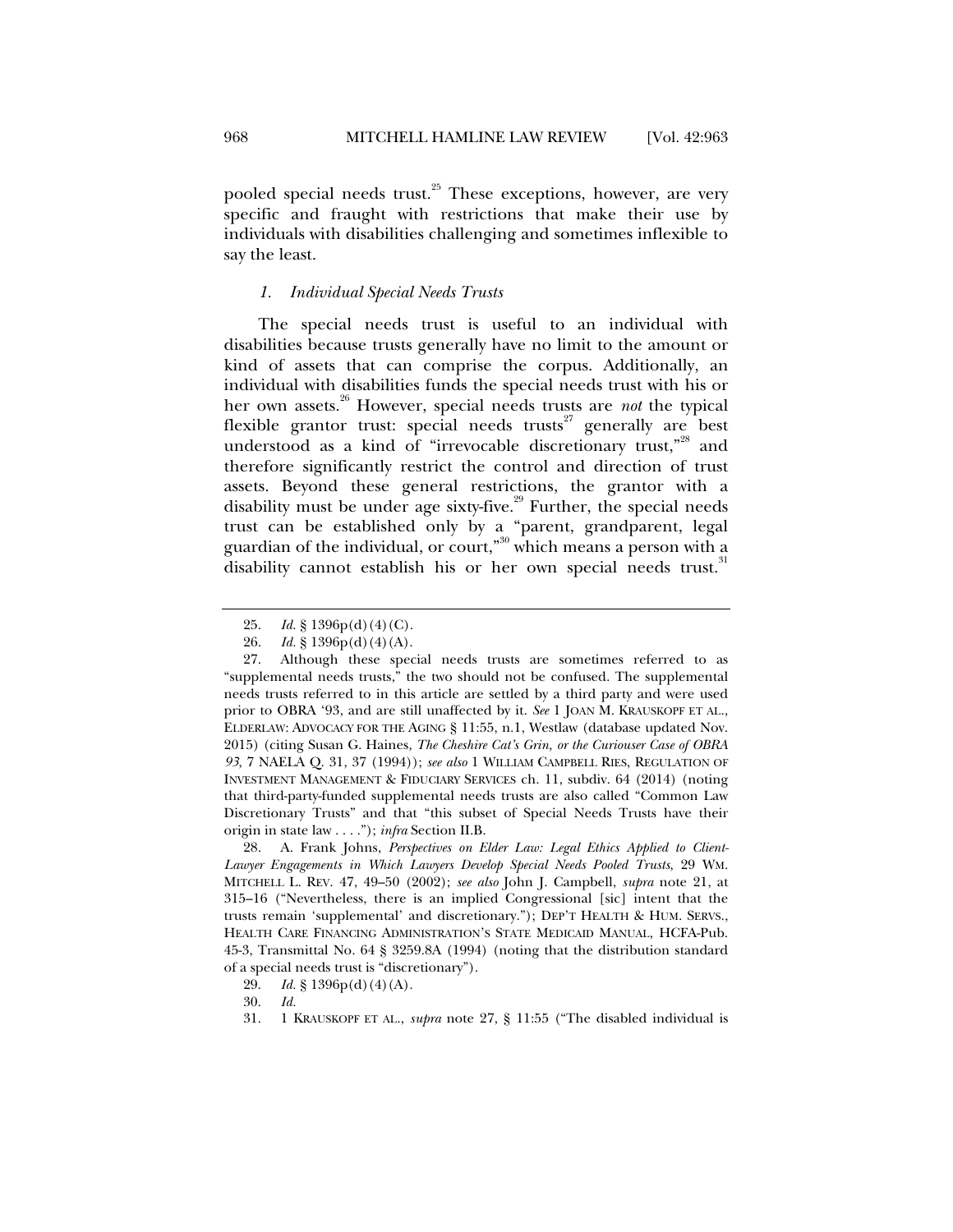pooled special needs trust. $^{25}$  These exceptions, however, are very specific and fraught with restrictions that make their use by individuals with disabilities challenging and sometimes inflexible to say the least.

## *1. Individual Special Needs Trusts*

The special needs trust is useful to an individual with disabilities because trusts generally have no limit to the amount or kind of assets that can comprise the corpus. Additionally, an individual with disabilities funds the special needs trust with his or her own assets.26 However, special needs trusts are *not* the typical flexible grantor trust: special needs trusts $^{27}$  generally are best understood as a kind of "irrevocable discretionary trust,"<sup>28</sup> and therefore significantly restrict the control and direction of trust assets. Beyond these general restrictions, the grantor with a disability must be under age sixty-five.<sup>29</sup> Further, the special needs trust can be established only by a "parent, grandparent, legal guardian of the individual, or court,"30 which means a person with a disability cannot establish his or her own special needs trust.<sup>31</sup>

 28. A. Frank Johns, *Perspectives on Elder Law: Legal Ethics Applied to Client-Lawyer Engagements in Which Lawyers Develop Special Needs Pooled Trusts*, 29 WM. MITCHELL L. REV. 47, 49–50 (2002); *see also* John J. Campbell, *supra* note 21, at 315–16 ("Nevertheless, there is an implied Congressional [sic] intent that the trusts remain 'supplemental' and discretionary."); DEP'T HEALTH & HUM. SERVS., HEALTH CARE FINANCING ADMINISTRATION'S STATE MEDICAID MANUAL, HCFA-Pub. 45-3, Transmittal No. 64 § 3259.8A (1994) (noting that the distribution standard of a special needs trust is "discretionary").

 <sup>25.</sup> *Id.* § 1396p(d)(4)(C).

 <sup>26.</sup> *Id.* § 1396p(d)(4)(A).

 <sup>27.</sup> Although these special needs trusts are sometimes referred to as "supplemental needs trusts," the two should not be confused. The supplemental needs trusts referred to in this article are settled by a third party and were used prior to OBRA '93, and are still unaffected by it. *See* 1 JOAN M. KRAUSKOPF ET AL., ELDERLAW: ADVOCACY FOR THE AGING § 11:55, n.1, Westlaw (database updated Nov. 2015) (citing Susan G. Haines, *The Cheshire Cat's Grin, or the Curiouser Case of OBRA 93*, 7 NAELA Q. 31, 37 (1994)); *see also* 1 WILLIAM CAMPBELL RIES, REGULATION OF INVESTMENT MANAGEMENT & FIDUCIARY SERVICES ch. 11, subdiv. 64 (2014) (noting that third-party-funded supplemental needs trusts are also called "Common Law Discretionary Trusts" and that "this subset of Special Needs Trusts have their origin in state law . . . ."); *infra* Section II.B.

 <sup>29.</sup> *Id.* § 1396p(d)(4)(A).

 <sup>30.</sup> *Id.*

 <sup>31. 1</sup> KRAUSKOPF ET AL., *supra* note 27, § 11:55 ("The disabled individual is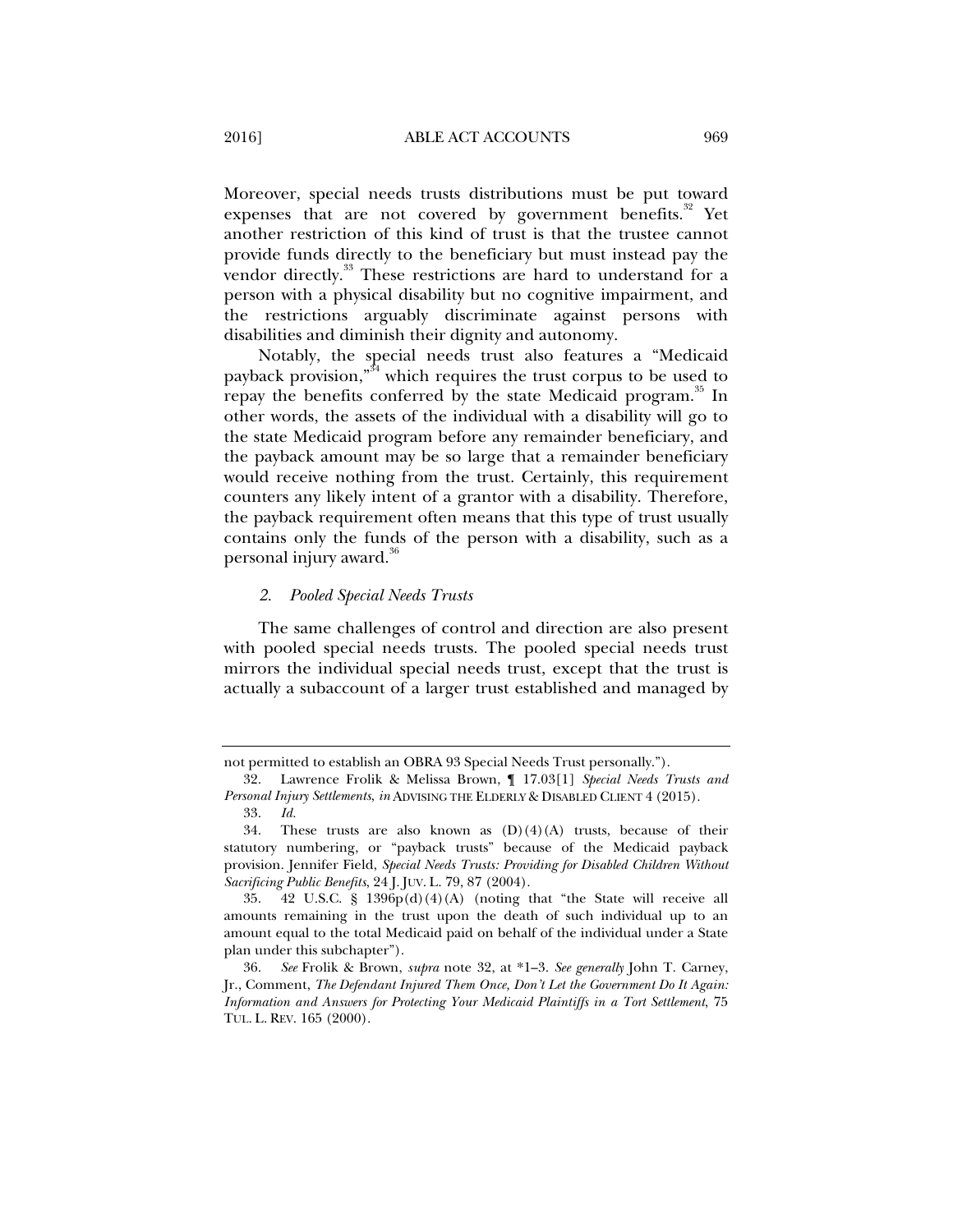Moreover, special needs trusts distributions must be put toward expenses that are not covered by government benefits.<sup>32</sup> Yet another restriction of this kind of trust is that the trustee cannot provide funds directly to the beneficiary but must instead pay the vendor directly.<sup>33</sup> These restrictions are hard to understand for a person with a physical disability but no cognitive impairment, and the restrictions arguably discriminate against persons with disabilities and diminish their dignity and autonomy.

Notably, the special needs trust also features a "Medicaid payback provision,"<sup>34</sup> which requires the trust corpus to be used to repay the benefits conferred by the state Medicaid program.<sup>35</sup> In other words, the assets of the individual with a disability will go to the state Medicaid program before any remainder beneficiary, and the payback amount may be so large that a remainder beneficiary would receive nothing from the trust. Certainly, this requirement counters any likely intent of a grantor with a disability. Therefore, the payback requirement often means that this type of trust usually contains only the funds of the person with a disability, such as a personal injury award.<sup>36</sup>

#### *2. Pooled Special Needs Trusts*

The same challenges of control and direction are also present with pooled special needs trusts. The pooled special needs trust mirrors the individual special needs trust, except that the trust is actually a subaccount of a larger trust established and managed by

not permitted to establish an OBRA 93 Special Needs Trust personally.").

 <sup>32.</sup> Lawrence Frolik & Melissa Brown, ¶ 17.03[1] *Special Needs Trusts and Personal Injury Settlements*, *in* ADVISING THE ELDERLY & DISABLED CLIENT 4 (2015).

 <sup>33.</sup> *Id.* 

<sup>34.</sup> These trusts are also known as  $(D)(4)(A)$  trusts, because of their statutory numbering, or "payback trusts" because of the Medicaid payback provision. Jennifer Field, *Special Needs Trusts: Providing for Disabled Children Without Sacrificing Public Benefits*, 24 J. JUV. L. 79, 87 (2004).

 <sup>35. 42</sup> U.S.C. § 1396p(d)(4)(A) (noting that "the State will receive all amounts remaining in the trust upon the death of such individual up to an amount equal to the total Medicaid paid on behalf of the individual under a State plan under this subchapter").

 <sup>36.</sup> *See* Frolik & Brown, *supra* note 32, at \*1–3. *See generally* John T. Carney, Jr., Comment, *The Defendant Injured Them Once, Don't Let the Government Do It Again: Information and Answers for Protecting Your Medicaid Plaintiffs in a Tort Settlement*, 75 TUL. L. REV. 165 (2000).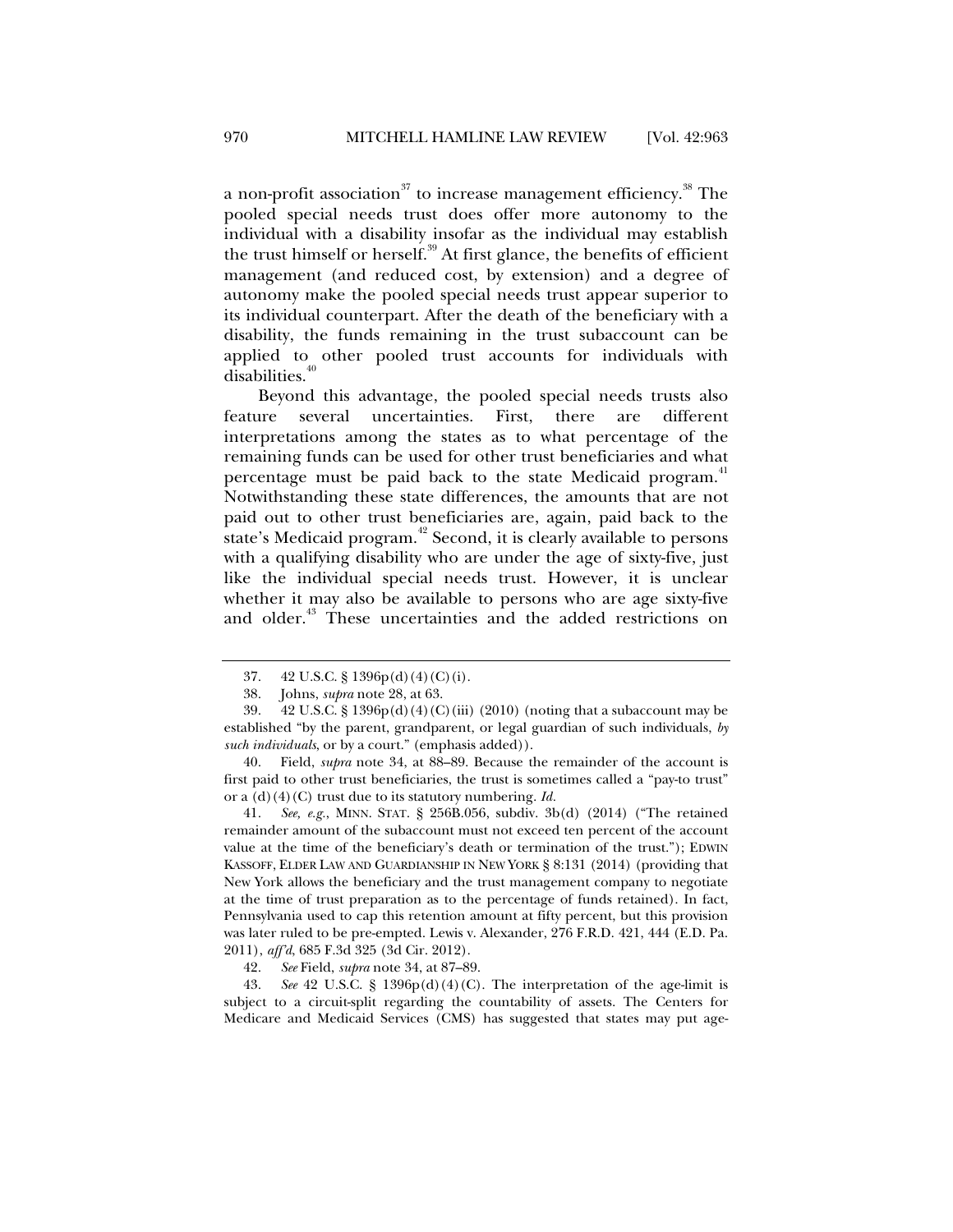a non-profit association<sup>37</sup> to increase management efficiency.<sup>38</sup> The pooled special needs trust does offer more autonomy to the individual with a disability insofar as the individual may establish the trust himself or herself.<sup>39</sup> At first glance, the benefits of efficient management (and reduced cost, by extension) and a degree of autonomy make the pooled special needs trust appear superior to its individual counterpart. After the death of the beneficiary with a disability, the funds remaining in the trust subaccount can be applied to other pooled trust accounts for individuals with disabilities.<sup>4</sup>

Beyond this advantage, the pooled special needs trusts also feature several uncertainties. First, there are different interpretations among the states as to what percentage of the remaining funds can be used for other trust beneficiaries and what percentage must be paid back to the state Medicaid program.<sup>41</sup> Notwithstanding these state differences, the amounts that are not paid out to other trust beneficiaries are, again, paid back to the state's Medicaid program.<sup>42</sup> Second, it is clearly available to persons with a qualifying disability who are under the age of sixty-five, just like the individual special needs trust. However, it is unclear whether it may also be available to persons who are age sixty-five and older.<sup>43</sup> These uncertainties and the added restrictions on

 40. Field, *supra* note 34, at 88–89. Because the remainder of the account is first paid to other trust beneficiaries, the trust is sometimes called a "pay-to trust" or a (d)(4)(C) trust due to its statutory numbering. *Id.* 

 41. *See, e.g.*, MINN. STAT. § 256B.056, subdiv. 3b(d) (2014) ("The retained remainder amount of the subaccount must not exceed ten percent of the account value at the time of the beneficiary's death or termination of the trust."); EDWIN KASSOFF, ELDER LAW AND GUARDIANSHIP IN NEW YORK § 8:131 (2014) (providing that New York allows the beneficiary and the trust management company to negotiate at the time of trust preparation as to the percentage of funds retained). In fact, Pennsylvania used to cap this retention amount at fifty percent, but this provision was later ruled to be pre-empted. Lewis v. Alexander, 276 F.R.D. 421, 444 (E.D. Pa. 2011), *aff'd*, 685 F.3d 325 (3d Cir. 2012).

42. *See* Field, *supra* note 34, at 87–89.

 43. *See* 42 U.S.C. § 1396p(d)(4)(C). The interpretation of the age-limit is subject to a circuit-split regarding the countability of assets. The Centers for Medicare and Medicaid Services (CMS) has suggested that states may put age-

 <sup>37. 42</sup> U.S.C. § 1396p(d)(4)(C)(i).

 <sup>38.</sup> Johns, *supra* note 28, at 63.

 <sup>39. 42</sup> U.S.C. § 1396p(d)(4)(C)(iii) (2010) (noting that a subaccount may be established "by the parent, grandparent, or legal guardian of such individuals, *by such individuals*, or by a court." (emphasis added)).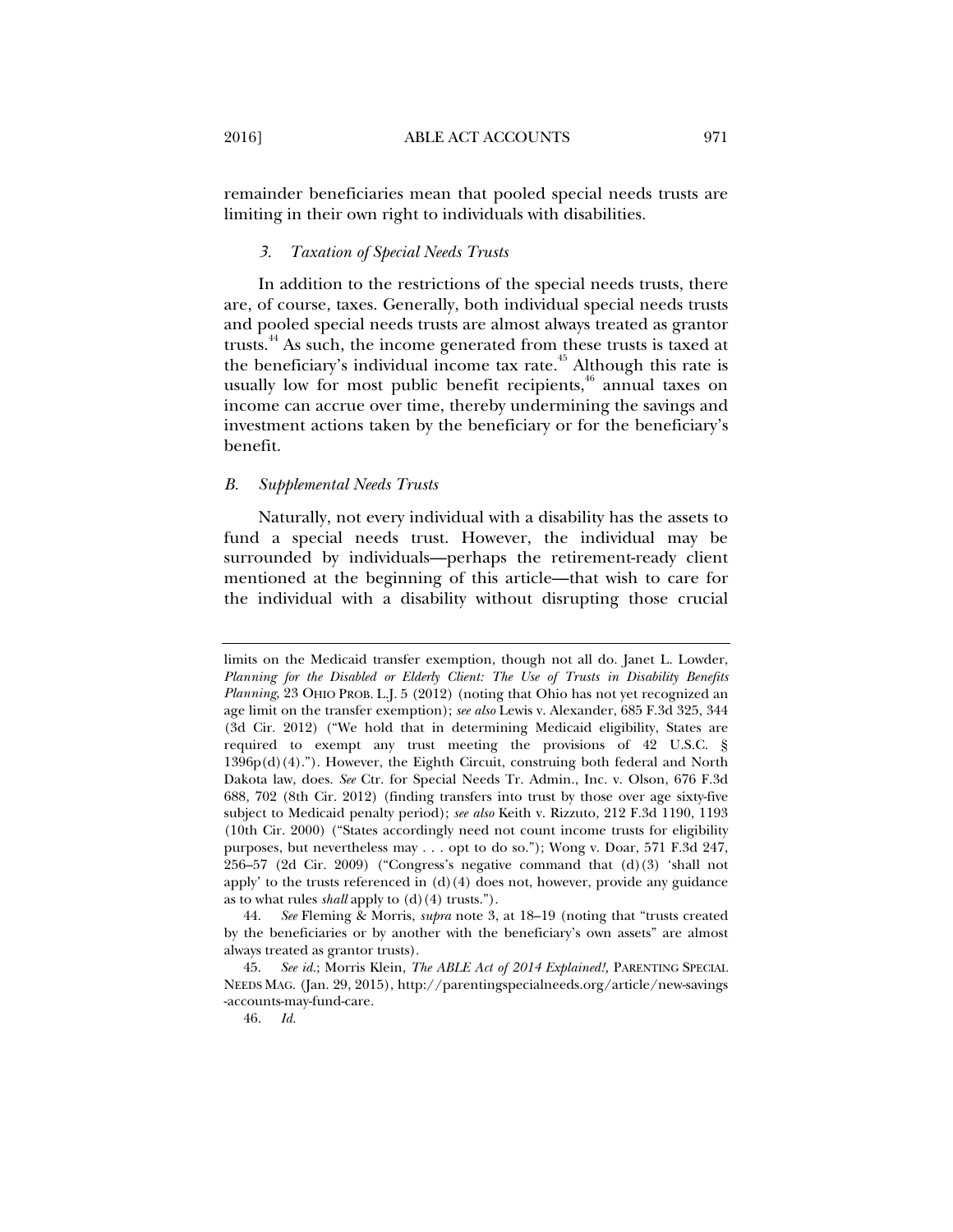remainder beneficiaries mean that pooled special needs trusts are limiting in their own right to individuals with disabilities.

#### *3. Taxation of Special Needs Trusts*

In addition to the restrictions of the special needs trusts, there are, of course, taxes. Generally, both individual special needs trusts and pooled special needs trusts are almost always treated as grantor trusts.<sup>44</sup> As such, the income generated from these trusts is taxed at the beneficiary's individual income tax rate. $45$  Although this rate is usually low for most public benefit recipients,  $46$  annual taxes on income can accrue over time, thereby undermining the savings and investment actions taken by the beneficiary or for the beneficiary's benefit.

## *B. Supplemental Needs Trusts*

Naturally, not every individual with a disability has the assets to fund a special needs trust. However, the individual may be surrounded by individuals—perhaps the retirement-ready client mentioned at the beginning of this article—that wish to care for the individual with a disability without disrupting those crucial

limits on the Medicaid transfer exemption, though not all do. Janet L. Lowder, *Planning for the Disabled or Elderly Client: The Use of Trusts in Disability Benefits Planning*, 23 OHIO PROB. L.J. 5 (2012) (noting that Ohio has not yet recognized an age limit on the transfer exemption); *see also* Lewis v. Alexander, 685 F.3d 325, 344 (3d Cir. 2012) ("We hold that in determining Medicaid eligibility, States are required to exempt any trust meeting the provisions of 42 U.S.C. §  $1396p(d)(4)$ ."). However, the Eighth Circuit, construing both federal and North Dakota law, does. *See* Ctr. for Special Needs Tr. Admin., Inc. v. Olson, 676 F.3d 688, 702 (8th Cir. 2012) (finding transfers into trust by those over age sixty-five subject to Medicaid penalty period); *see also* Keith v. Rizzuto, 212 F.3d 1190, 1193 (10th Cir. 2000) ("States accordingly need not count income trusts for eligibility purposes, but nevertheless may . . . opt to do so."); Wong v. Doar, 571 F.3d 247, 256–57 (2d Cir. 2009) ("Congress's negative command that (d)(3) 'shall not apply' to the trusts referenced in  $(d)(4)$  does not, however, provide any guidance as to what rules *shall* apply to (d)(4) trusts.").

 <sup>44.</sup> *See* Fleming & Morris, *supra* note 3, at 18–19 (noting that "trusts created by the beneficiaries or by another with the beneficiary's own assets" are almost always treated as grantor trusts).

 <sup>45.</sup> *See id.*; Morris Klein, *The ABLE Act of 2014 Explained!,* PARENTING SPECIAL NEEDS MAG. (Jan. 29, 2015), http://parentingspecialneeds.org/article/new-savings -accounts-may-fund-care.

 <sup>46.</sup> *Id.*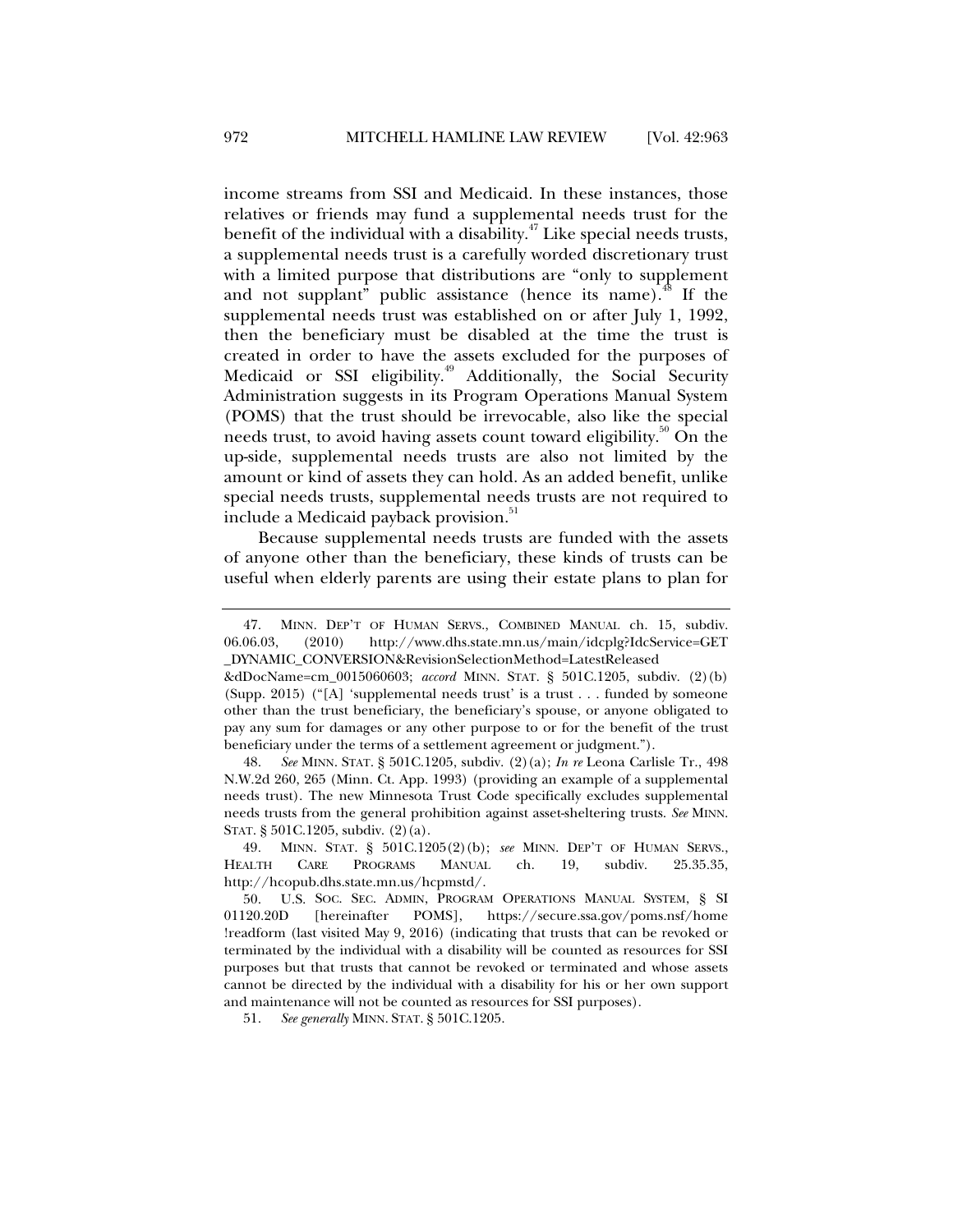income streams from SSI and Medicaid. In these instances, those relatives or friends may fund a supplemental needs trust for the benefit of the individual with a disability. $47$  Like special needs trusts, a supplemental needs trust is a carefully worded discretionary trust with a limited purpose that distributions are "only to supplement and not supplant" public assistance (hence its name).<sup>48</sup> If the supplemental needs trust was established on or after July 1, 1992, then the beneficiary must be disabled at the time the trust is created in order to have the assets excluded for the purposes of Medicaid or SSI eligibility.<sup>49</sup> Additionally, the Social Security Administration suggests in its Program Operations Manual System (POMS) that the trust should be irrevocable, also like the special needs trust, to avoid having assets count toward eligibility.<sup>50</sup> On the up-side, supplemental needs trusts are also not limited by the amount or kind of assets they can hold. As an added benefit, unlike special needs trusts, supplemental needs trusts are not required to include a Medicaid payback provision.<sup>51</sup>

Because supplemental needs trusts are funded with the assets of anyone other than the beneficiary, these kinds of trusts can be useful when elderly parents are using their estate plans to plan for

 48. *See* MINN. STAT. § 501C.1205, subdiv. (2)(a); *In re* Leona Carlisle Tr., 498 N.W.2d 260, 265 (Minn. Ct. App. 1993) (providing an example of a supplemental needs trust). The new Minnesota Trust Code specifically excludes supplemental needs trusts from the general prohibition against asset-sheltering trusts. *See* MINN. STAT. § 501C.1205, subdiv. (2)(a).

49*.* MINN. STAT. § 501C.1205(2)(b); *see* MINN. DEP'T OF HUMAN SERVS., HEALTH CARE PROGRAMS MANUAL ch. 19, subdiv. 25.35.35, http://hcopub.dhs.state.mn.us/hcpmstd/.

 50. U.S. SOC. SEC. ADMIN, PROGRAM OPERATIONS MANUAL SYSTEM, § SI 01120.20D [hereinafter POMS], https://secure.ssa.gov/poms.nsf/home !readform (last visited May 9, 2016) (indicating that trusts that can be revoked or terminated by the individual with a disability will be counted as resources for SSI purposes but that trusts that cannot be revoked or terminated and whose assets cannot be directed by the individual with a disability for his or her own support and maintenance will not be counted as resources for SSI purposes).

51. *See generally* MINN. STAT. § 501C.1205.

<sup>47.</sup> MINN. DEP'T OF HUMAN SERVS., COMBINED MANUAL ch. 15, subdiv. 06.06.03, (2010) http://www.dhs.state.mn.us/main/idcplg?IdcService=GET 06.06.03, (2010) http://www.dhs.state.mn.us/main/idcplg?IdcService=GET \_DYNAMIC\_CONVERSION&RevisionSelectionMethod=LatestReleased

<sup>&</sup>amp;dDocName=cm\_0015060603; *accord* MINN. STAT. § 501C.1205, subdiv. (2)(b) (Supp. 2015) ("[A] 'supplemental needs trust' is a trust . . . funded by someone other than the trust beneficiary, the beneficiary's spouse, or anyone obligated to pay any sum for damages or any other purpose to or for the benefit of the trust beneficiary under the terms of a settlement agreement or judgment.").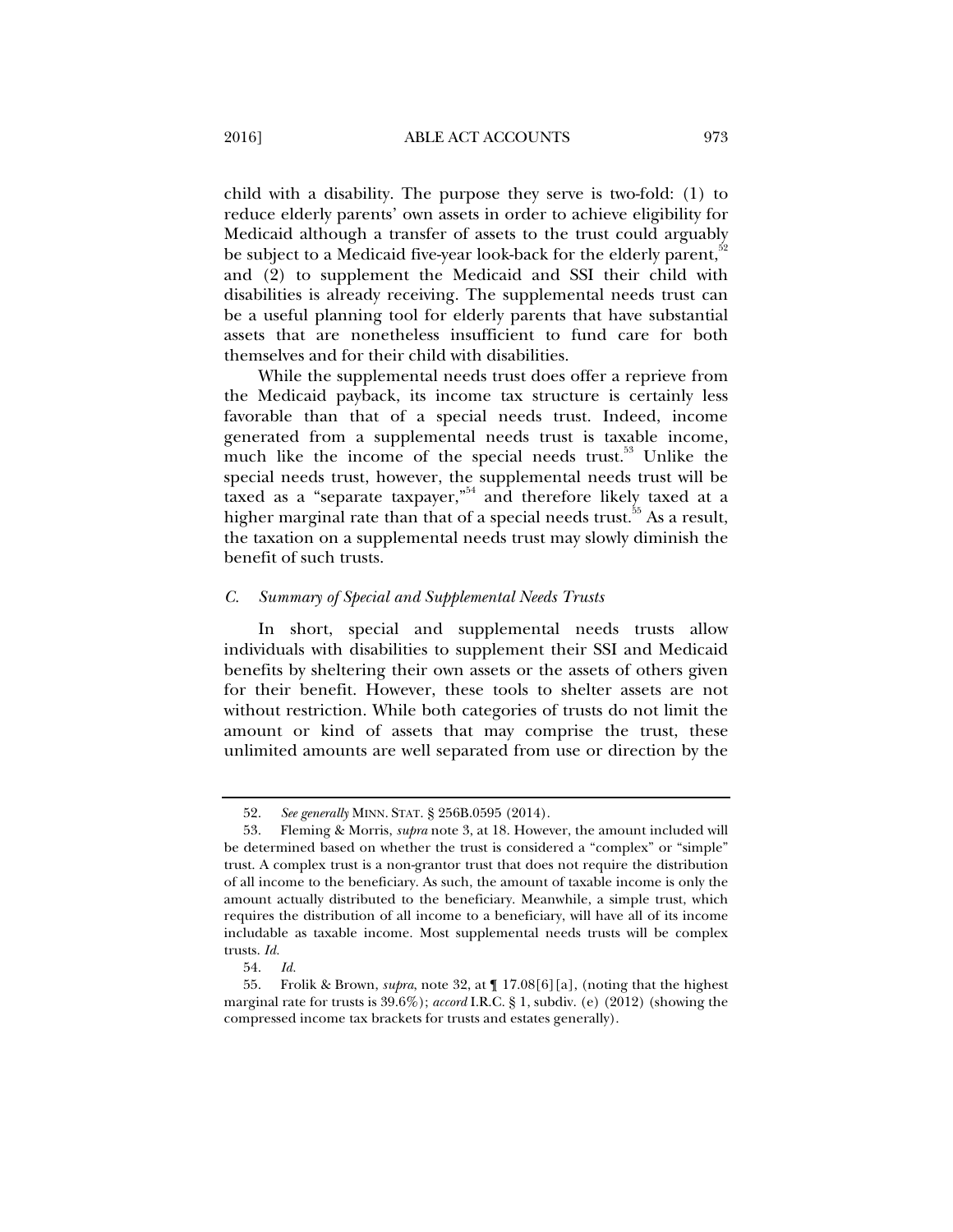child with a disability. The purpose they serve is two-fold: (1) to reduce elderly parents' own assets in order to achieve eligibility for Medicaid although a transfer of assets to the trust could arguably be subject to a Medicaid five-year look-back for the elderly parent,<sup>32</sup> and (2) to supplement the Medicaid and SSI their child with disabilities is already receiving. The supplemental needs trust can be a useful planning tool for elderly parents that have substantial assets that are nonetheless insufficient to fund care for both themselves and for their child with disabilities.

While the supplemental needs trust does offer a reprieve from the Medicaid payback, its income tax structure is certainly less favorable than that of a special needs trust. Indeed, income generated from a supplemental needs trust is taxable income, much like the income of the special needs trust.<sup>53</sup> Unlike the special needs trust, however, the supplemental needs trust will be taxed as a "separate taxpayer,"<sup>54</sup> and therefore likely taxed at a higher marginal rate than that of a special needs trust.<sup>55</sup> As a result, the taxation on a supplemental needs trust may slowly diminish the benefit of such trusts.

#### *C. Summary of Special and Supplemental Needs Trusts*

In short, special and supplemental needs trusts allow individuals with disabilities to supplement their SSI and Medicaid benefits by sheltering their own assets or the assets of others given for their benefit. However, these tools to shelter assets are not without restriction. While both categories of trusts do not limit the amount or kind of assets that may comprise the trust, these unlimited amounts are well separated from use or direction by the

 <sup>52.</sup> *See generally* MINN. STAT. § 256B.0595 (2014).

 <sup>53.</sup> Fleming & Morris, *supra* note 3, at 18. However, the amount included will be determined based on whether the trust is considered a "complex" or "simple" trust. A complex trust is a non-grantor trust that does not require the distribution of all income to the beneficiary. As such, the amount of taxable income is only the amount actually distributed to the beneficiary. Meanwhile, a simple trust, which requires the distribution of all income to a beneficiary, will have all of its income includable as taxable income. Most supplemental needs trusts will be complex trusts. *Id.* 

 <sup>54.</sup> *Id.*

 <sup>55.</sup> Frolik & Brown, *supra*, note 32, at ¶ 17.08[6][a], (noting that the highest marginal rate for trusts is 39.6%); *accord* I.R.C. § 1, subdiv. (e) (2012) (showing the compressed income tax brackets for trusts and estates generally).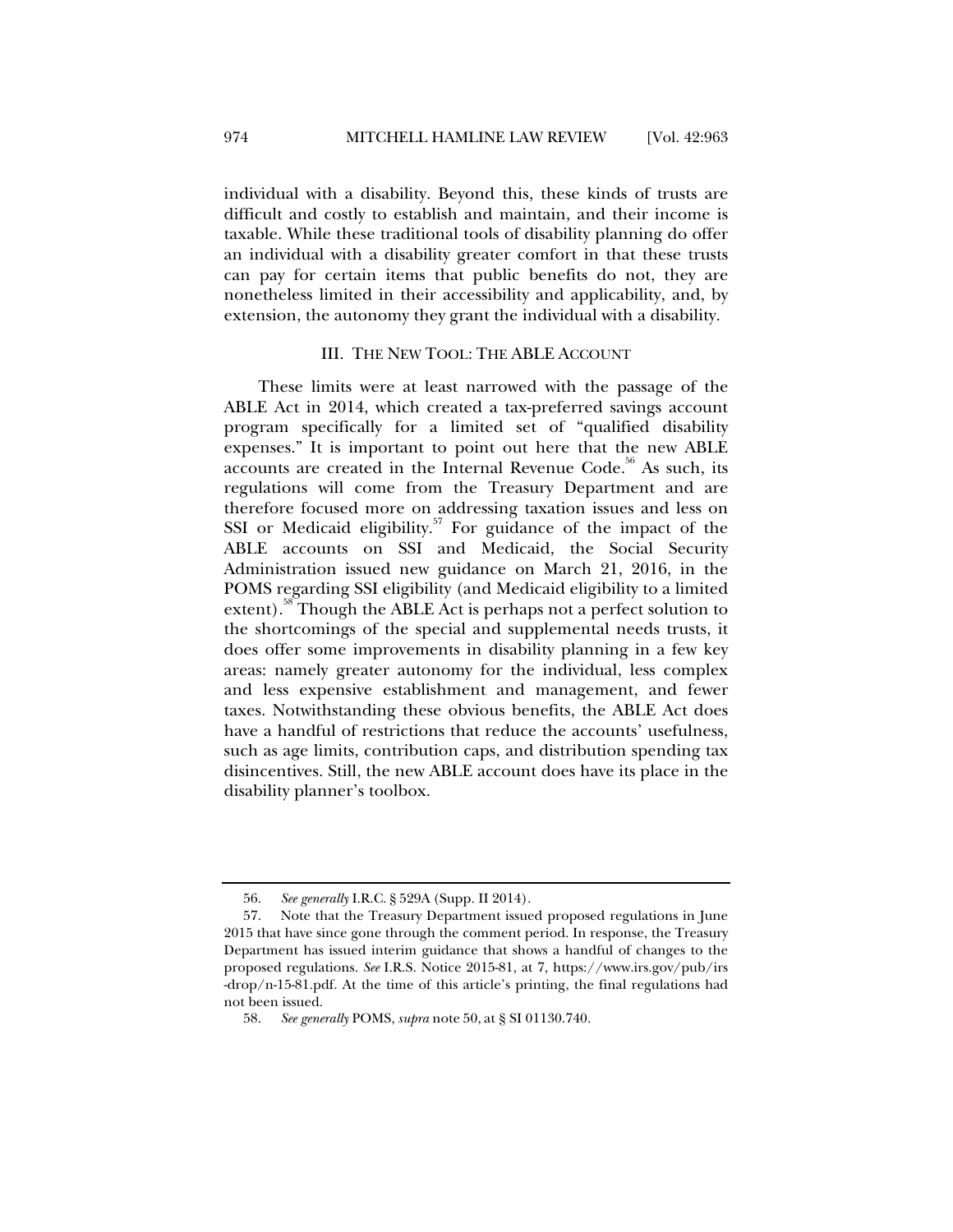individual with a disability. Beyond this, these kinds of trusts are difficult and costly to establish and maintain, and their income is taxable. While these traditional tools of disability planning do offer an individual with a disability greater comfort in that these trusts can pay for certain items that public benefits do not, they are nonetheless limited in their accessibility and applicability, and, by extension, the autonomy they grant the individual with a disability.

## III. THE NEW TOOL: THE ABLE ACCOUNT

These limits were at least narrowed with the passage of the ABLE Act in 2014, which created a tax-preferred savings account program specifically for a limited set of "qualified disability expenses." It is important to point out here that the new ABLE accounts are created in the Internal Revenue Code.<sup>56</sup> As such, its regulations will come from the Treasury Department and are therefore focused more on addressing taxation issues and less on SSI or Medicaid eligibility.<sup>57</sup> For guidance of the impact of the ABLE accounts on SSI and Medicaid, the Social Security Administration issued new guidance on March 21, 2016, in the POMS regarding SSI eligibility (and Medicaid eligibility to a limited extent).<sup>38</sup> Though the ABLE Act is perhaps not a perfect solution to the shortcomings of the special and supplemental needs trusts, it does offer some improvements in disability planning in a few key areas: namely greater autonomy for the individual, less complex and less expensive establishment and management, and fewer taxes. Notwithstanding these obvious benefits, the ABLE Act does have a handful of restrictions that reduce the accounts' usefulness, such as age limits, contribution caps, and distribution spending tax disincentives. Still, the new ABLE account does have its place in the disability planner's toolbox.

 <sup>56.</sup> *See generally* I.R.C. § 529A (Supp. II 2014).

 <sup>57.</sup> Note that the Treasury Department issued proposed regulations in June 2015 that have since gone through the comment period. In response, the Treasury Department has issued interim guidance that shows a handful of changes to the proposed regulations. *See* I.R.S. Notice 2015-81, at 7, https://www.irs.gov/pub/irs -drop/n-15-81.pdf. At the time of this article's printing, the final regulations had not been issued.

 <sup>58.</sup> *See generally* POMS, *supra* note 50, at § SI 01130.740.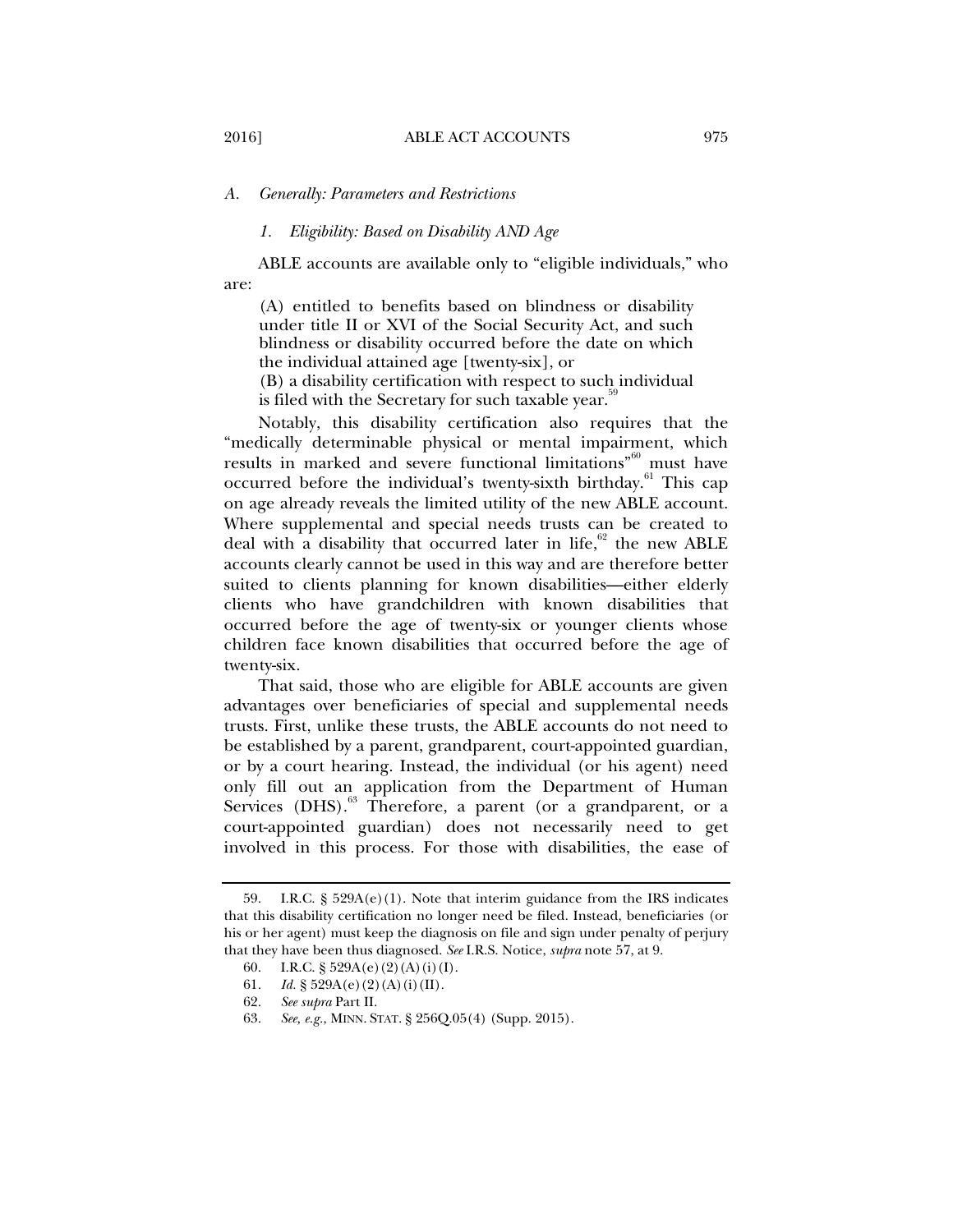## *A. Generally: Parameters and Restrictions*

#### *1. Eligibility: Based on Disability AND Age*

ABLE accounts are available only to "eligible individuals," who are:

(A) entitled to benefits based on blindness or disability under title II or XVI of the Social Security Act, and such blindness or disability occurred before the date on which the individual attained age [twenty-six], or (B) a disability certification with respect to such individual is filed with the Secretary for such taxable year.<sup>39</sup>

Notably, this disability certification also requires that the "medically determinable physical or mental impairment, which results in marked and severe functional limitations<sup>"60</sup> must have occurred before the individual's twenty-sixth birthday.<sup>61</sup> This cap on age already reveals the limited utility of the new ABLE account. Where supplemental and special needs trusts can be created to deal with a disability that occurred later in life,  $62$  the new ABLE accounts clearly cannot be used in this way and are therefore better suited to clients planning for known disabilities—either elderly clients who have grandchildren with known disabilities that occurred before the age of twenty-six or younger clients whose children face known disabilities that occurred before the age of twenty-six.

That said, those who are eligible for ABLE accounts are given advantages over beneficiaries of special and supplemental needs trusts. First, unlike these trusts, the ABLE accounts do not need to be established by a parent, grandparent, court-appointed guardian, or by a court hearing. Instead, the individual (or his agent) need only fill out an application from the Department of Human Services (DHS).<sup>63</sup> Therefore, a parent (or a grandparent, or a court-appointed guardian) does not necessarily need to get involved in this process. For those with disabilities, the ease of

<sup>59.</sup> I.R.C.  $\S$  529A(e)(1). Note that interim guidance from the IRS indicates that this disability certification no longer need be filed. Instead, beneficiaries (or his or her agent) must keep the diagnosis on file and sign under penalty of perjury that they have been thus diagnosed. *See* I.R.S. Notice, *supra* note 57, at 9.

<sup>60.</sup> I.R.C. § 529A(e)(2)(A)(i)(I).<br>61. Id. § 529A(e)(2)(A)(i)(II).

<sup>61.</sup> *Id.* § 529A(e)(2)(A)(i)(II).<br>62. *See supra* Part II.

 <sup>62.</sup> *See supra* Part II.

 <sup>63.</sup> *See, e.g.*, MINN. STAT. § 256Q.05(4) (Supp. 2015).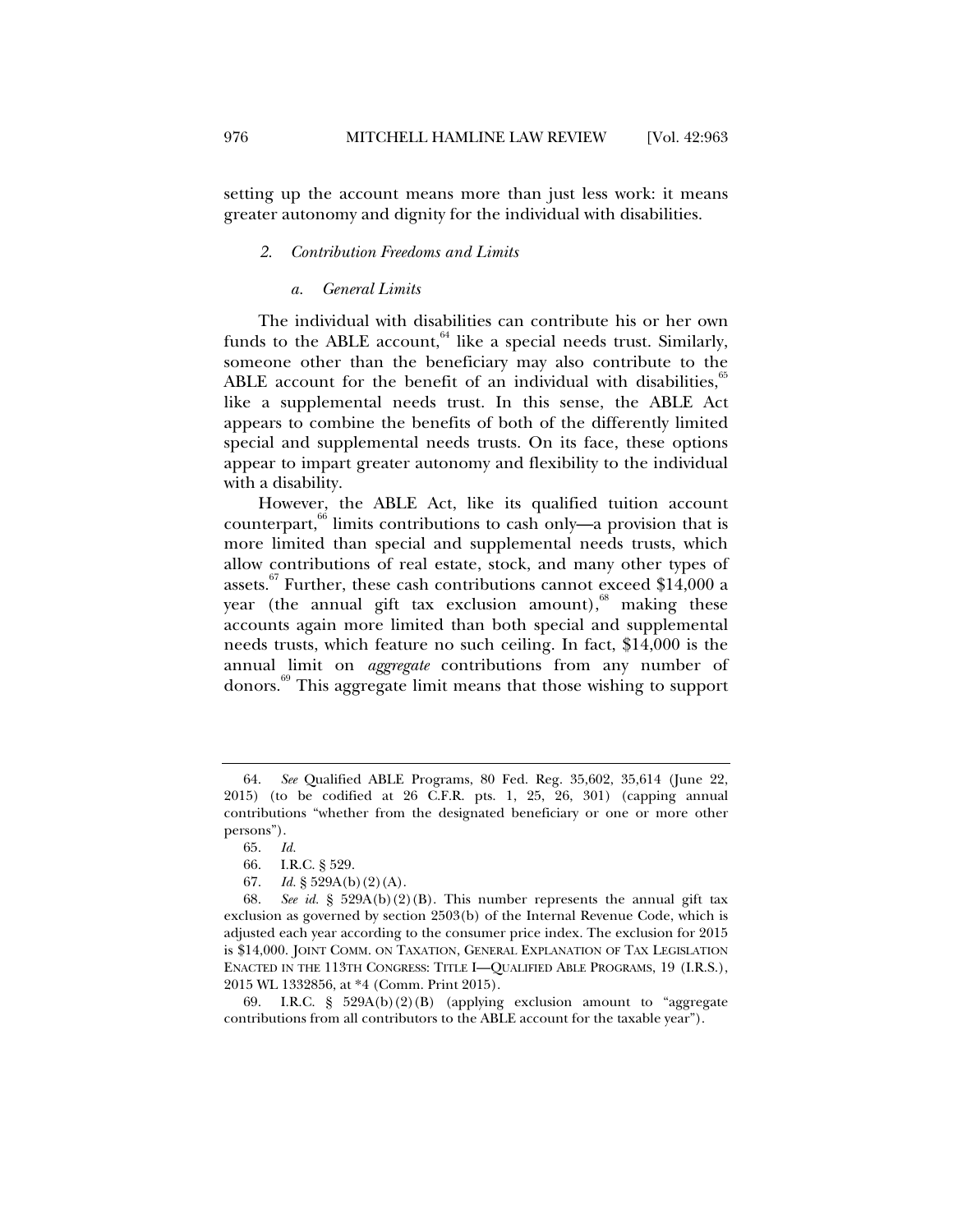setting up the account means more than just less work: it means greater autonomy and dignity for the individual with disabilities.

#### *2. Contribution Freedoms and Limits*

#### *a. General Limits*

The individual with disabilities can contribute his or her own funds to the ABLE account, $^{64}$  like a special needs trust. Similarly, someone other than the beneficiary may also contribute to the ABLE account for the benefit of an individual with disabilities, $\frac{5}{5}$ like a supplemental needs trust. In this sense, the ABLE Act appears to combine the benefits of both of the differently limited special and supplemental needs trusts. On its face, these options appear to impart greater autonomy and flexibility to the individual with a disability.

However, the ABLE Act, like its qualified tuition account counterpart,<sup>66</sup> limits contributions to cash only—a provision that is more limited than special and supplemental needs trusts, which allow contributions of real estate, stock, and many other types of assets.<sup>67</sup> Further, these cash contributions cannot exceed \$14,000 a year (the annual gift tax exclusion amount), $68$  making these accounts again more limited than both special and supplemental needs trusts, which feature no such ceiling. In fact, \$14,000 is the annual limit on *aggregate* contributions from any number of donors.<sup>69</sup> This aggregate limit means that those wishing to support

 <sup>64.</sup> *See* Qualified ABLE Programs, 80 Fed. Reg. 35,602, 35,614 (June 22, 2015) (to be codified at 26 C.F.R. pts. 1, 25, 26, 301) (capping annual contributions "whether from the designated beneficiary or one or more other persons").

 <sup>65.</sup> *Id.* 

 <sup>66.</sup> I.R.C. § 529.

<sup>67.</sup> *Id.*  $\S$  529A(b)(2)(A).

 <sup>68.</sup> *See id.* § 529A(b)(2)(B). This number represents the annual gift tax exclusion as governed by section 2503(b) of the Internal Revenue Code, which is adjusted each year according to the consumer price index. The exclusion for 2015 is \$14,000. JOINT COMM. ON TAXATION, GENERAL EXPLANATION OF TAX LEGISLATION ENACTED IN THE 113TH CONGRESS: TITLE I—QUALIFIED ABLE PROGRAMS, 19 (I.R.S.), 2015 WL 1332856, at \*4 (Comm. Print 2015).

 <sup>69.</sup> I.R.C. § 529A(b)(2)(B) (applying exclusion amount to "aggregate contributions from all contributors to the ABLE account for the taxable year").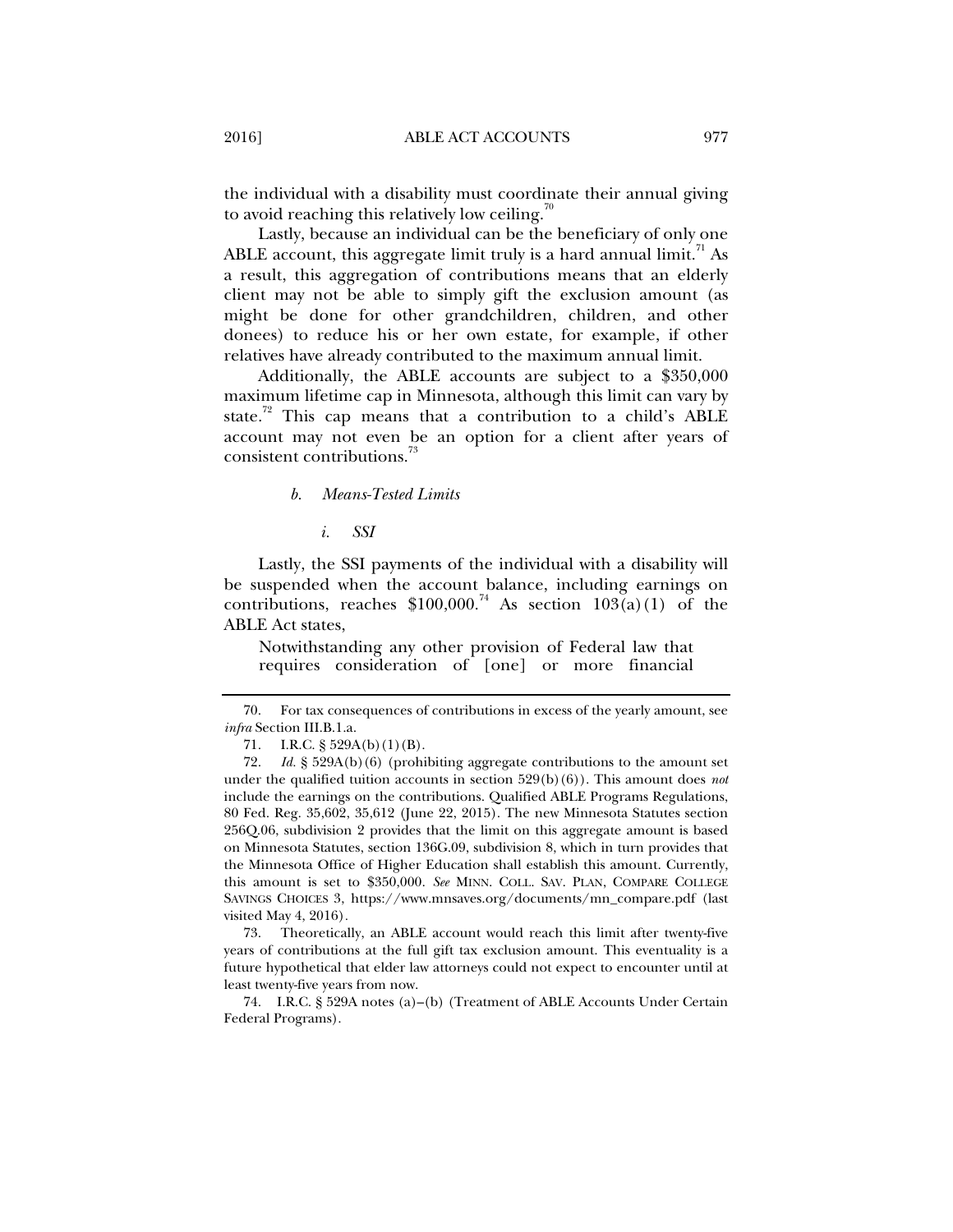the individual with a disability must coordinate their annual giving to avoid reaching this relatively low ceiling.<sup>70</sup>

Lastly, because an individual can be the beneficiary of only one ABLE account, this aggregate limit truly is a hard annual limit.<sup> $\text{1}$ </sup> As a result, this aggregation of contributions means that an elderly client may not be able to simply gift the exclusion amount (as might be done for other grandchildren, children, and other donees) to reduce his or her own estate, for example, if other relatives have already contributed to the maximum annual limit.

Additionally, the ABLE accounts are subject to a \$350,000 maximum lifetime cap in Minnesota, although this limit can vary by state.<sup>72</sup> This cap means that a contribution to a child's ABLE account may not even be an option for a client after years of consistent contributions.73

#### *b. Means-Tested Limits*

*i. SSI* 

Lastly, the SSI payments of the individual with a disability will be suspended when the account balance, including earnings on contributions, reaches  $$100,000<sup>74</sup>$  As section  $103(a)(1)$  of the ABLE Act states,

Notwithstanding any other provision of Federal law that requires consideration of [one] or more financial

 73. Theoretically, an ABLE account would reach this limit after twenty-five years of contributions at the full gift tax exclusion amount. This eventuality is a future hypothetical that elder law attorneys could not expect to encounter until at least twenty-five years from now.

 74. I.R.C. § 529A notes (a)–(b) (Treatment of ABLE Accounts Under Certain Federal Programs).

 <sup>70.</sup> For tax consequences of contributions in excess of the yearly amount, see *infra* Section III.B.1.a.

<sup>71.</sup> I.R.C. § 529A(b)(1)(B).

 <sup>72.</sup> *Id.* § 529A(b)(6) (prohibiting aggregate contributions to the amount set under the qualified tuition accounts in section  $529(b)(6)$ ). This amount does *not* include the earnings on the contributions. Qualified ABLE Programs Regulations, 80 Fed. Reg. 35,602, 35,612 (June 22, 2015). The new Minnesota Statutes section 256Q.06, subdivision 2 provides that the limit on this aggregate amount is based on Minnesota Statutes, section 136G.09, subdivision 8, which in turn provides that the Minnesota Office of Higher Education shall establish this amount. Currently, this amount is set to \$350,000. *See* MINN. COLL. SAV. PLAN, COMPARE COLLEGE SAVINGS CHOICES 3, https://www.mnsaves.org/documents/mn\_compare.pdf (last visited May 4, 2016)*.*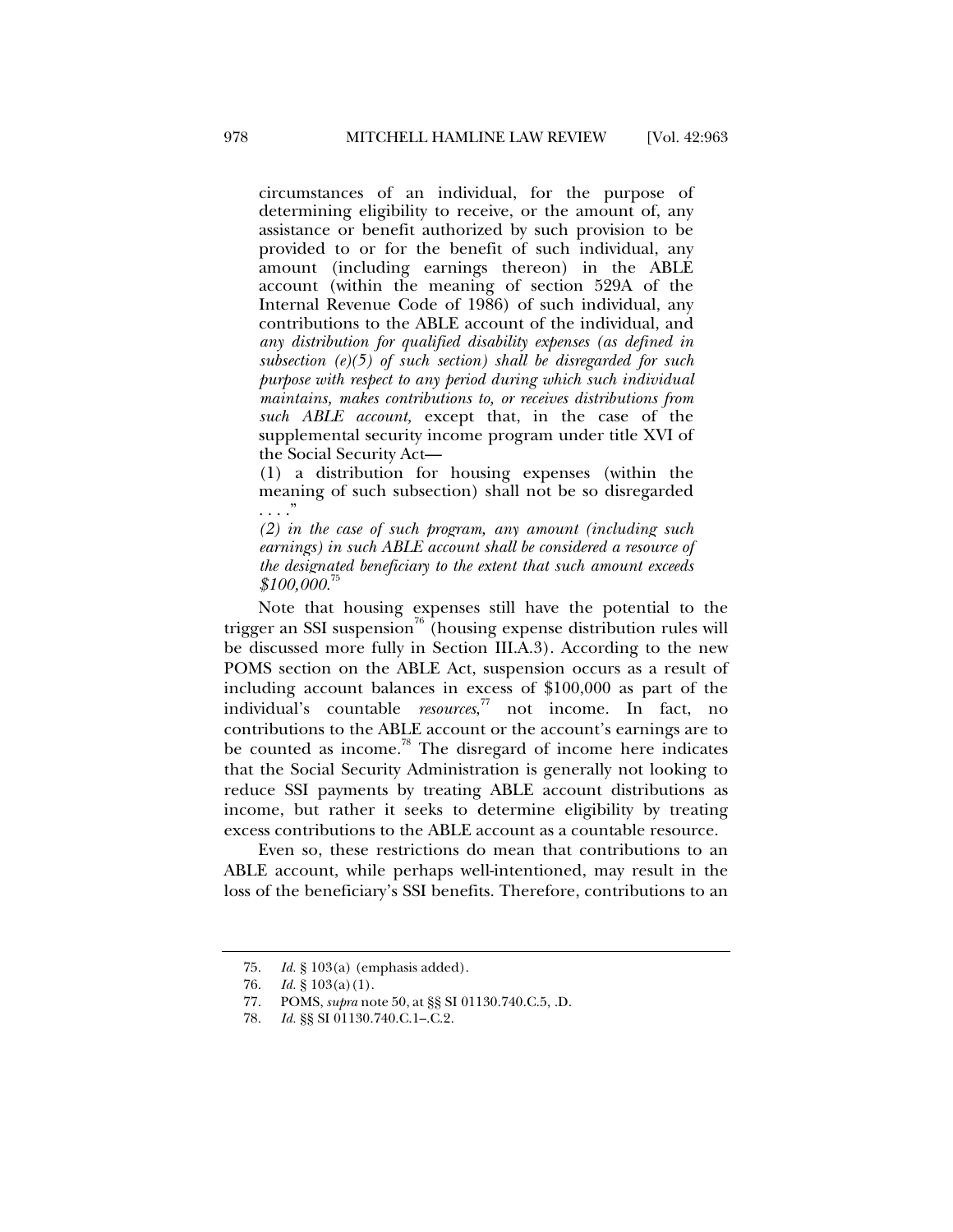circumstances of an individual, for the purpose of determining eligibility to receive, or the amount of, any assistance or benefit authorized by such provision to be provided to or for the benefit of such individual, any amount (including earnings thereon) in the ABLE account (within the meaning of section 529A of the Internal Revenue Code of 1986) of such individual, any contributions to the ABLE account of the individual, and *any distribution for qualified disability expenses (as defined in subsection (e)(5) of such section) shall be disregarded for such purpose with respect to any period during which such individual maintains, makes contributions to, or receives distributions from such ABLE account,* except that, in the case of the supplemental security income program under title XVI of the Social Security Act—

(1) a distribution for housing expenses (within the meaning of such subsection) shall not be so disregarded . . . ."

*(2) in the case of such program, any amount (including such earnings) in such ABLE account shall be considered a resource of the designated beneficiary to the extent that such amount exceeds*   $$100,000.75$ 

Note that housing expenses still have the potential to the trigger an SSI suspension<sup>76</sup> (housing expense distribution rules will be discussed more fully in Section III.A.3). According to the new POMS section on the ABLE Act, suspension occurs as a result of including account balances in excess of \$100,000 as part of the individual's countable *resources*, 77 not income. In fact, no contributions to the ABLE account or the account's earnings are to be counted as income.<sup>78</sup> The disregard of income here indicates that the Social Security Administration is generally not looking to reduce SSI payments by treating ABLE account distributions as income, but rather it seeks to determine eligibility by treating excess contributions to the ABLE account as a countable resource.

Even so, these restrictions do mean that contributions to an ABLE account, while perhaps well-intentioned, may result in the loss of the beneficiary's SSI benefits. Therefore, contributions to an

 <sup>75.</sup> *Id.* § 103(a) (emphasis added).

 <sup>76.</sup> *Id.* § 103(a)(1).

 <sup>77.</sup> POMS, *supra* note 50, at §§ SI 01130.740.C.5, .D.

<sup>78.</sup> *Id.* §§ SI 01130.740.C.1–.C.2.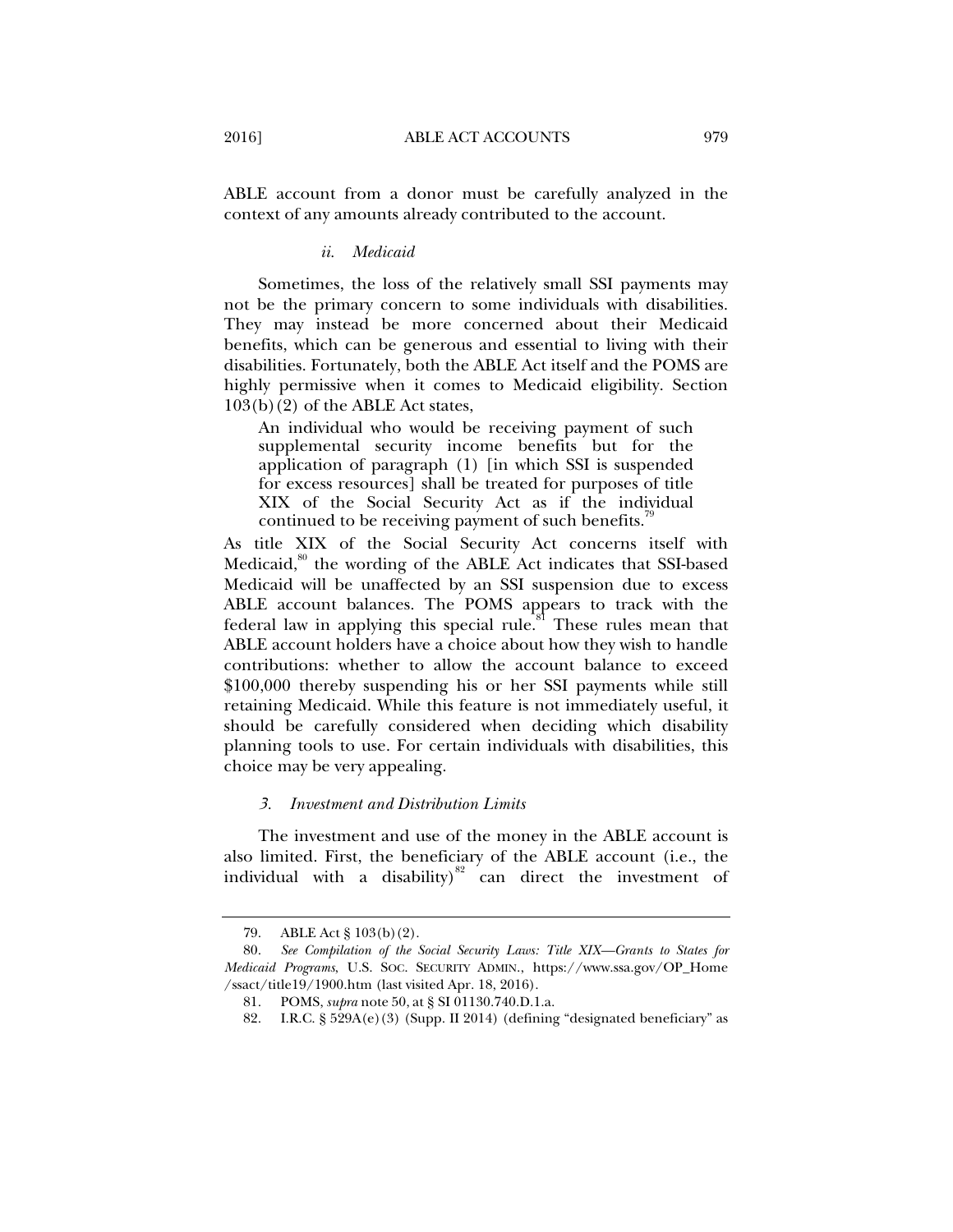ABLE account from a donor must be carefully analyzed in the context of any amounts already contributed to the account.

#### *ii. Medicaid*

Sometimes, the loss of the relatively small SSI payments may not be the primary concern to some individuals with disabilities. They may instead be more concerned about their Medicaid benefits, which can be generous and essential to living with their disabilities. Fortunately, both the ABLE Act itself and the POMS are highly permissive when it comes to Medicaid eligibility. Section 103(b)(2) of the ABLE Act states,

An individual who would be receiving payment of such supplemental security income benefits but for the application of paragraph (1) [in which SSI is suspended for excess resources] shall be treated for purposes of title XIX of the Social Security Act as if the individual continued to be receiving payment of such benefits.<sup>19</sup>

As title XIX of the Social Security Act concerns itself with Medicaid,<sup>80</sup> the wording of the ABLE Act indicates that SSI-based Medicaid will be unaffected by an SSI suspension due to excess ABLE account balances. The POMS appears to track with the federal law in applying this special rule.<sup>81</sup> These rules mean that ABLE account holders have a choice about how they wish to handle contributions: whether to allow the account balance to exceed \$100,000 thereby suspending his or her SSI payments while still retaining Medicaid. While this feature is not immediately useful, it should be carefully considered when deciding which disability planning tools to use. For certain individuals with disabilities, this choice may be very appealing.

## *3. Investment and Distribution Limits*

The investment and use of the money in the ABLE account is also limited. First, the beneficiary of the ABLE account (i.e., the individual with a disability) $82$  can direct the investment of

 <sup>79.</sup> ABLE Act § 103(b)(2).

 <sup>80.</sup> *See Compilation of the Social Security Laws: Title XIX—Grants to States for Medicaid Programs*, U.S. SOC. SECURITY ADMIN., https://www.ssa.gov/OP\_Home /ssact/title19/1900.htm (last visited Apr. 18, 2016).

 <sup>81.</sup> POMS, *supra* note 50, at § SI 01130.740.D.1.a.

 <sup>82.</sup> I.R.C. § 529A(e)(3) (Supp. II 2014) (defining "designated beneficiary" as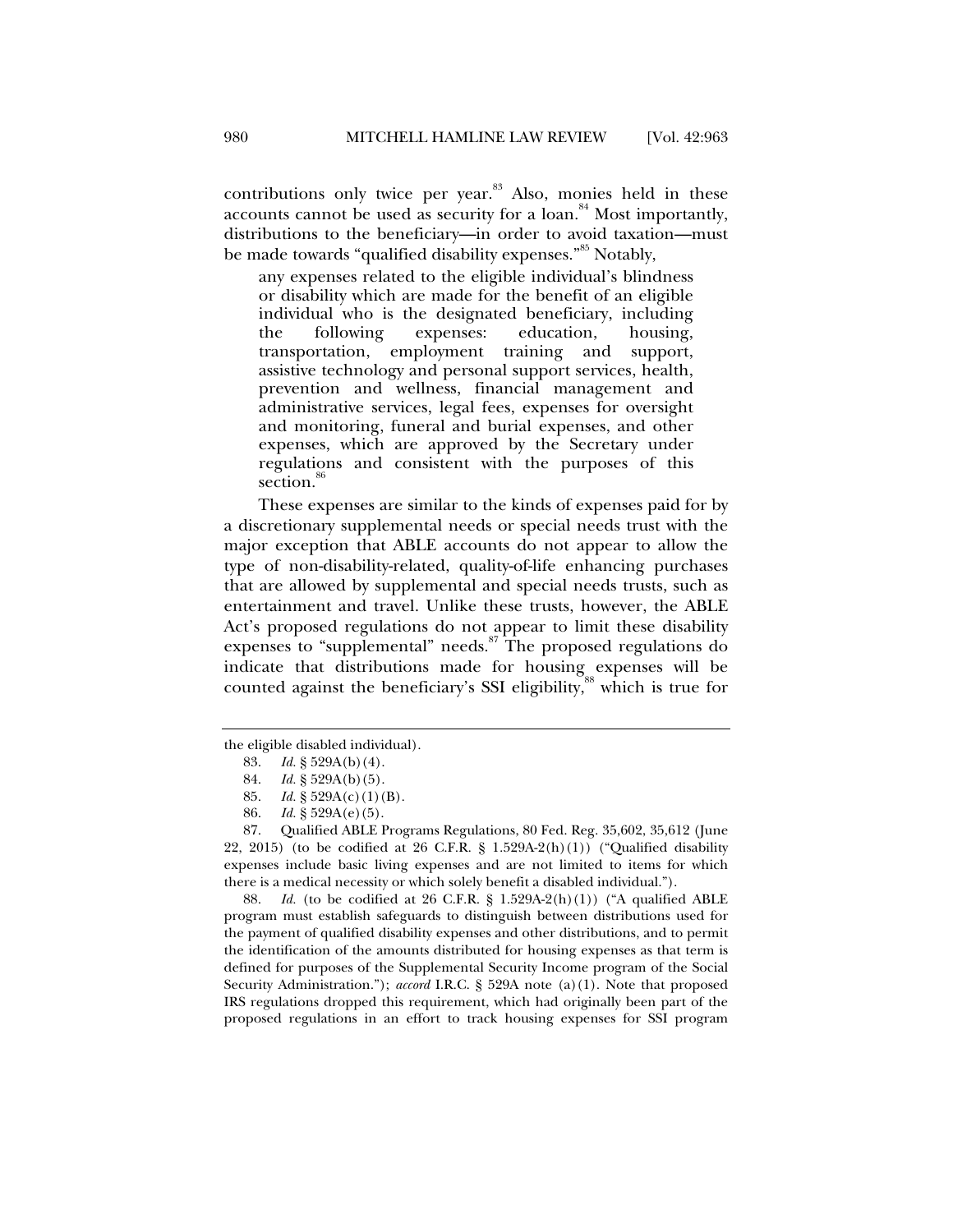contributions only twice per year. $83$  Also, monies held in these accounts cannot be used as security for a loan.<sup>84</sup> Most importantly, distributions to the beneficiary—in order to avoid taxation—must be made towards "qualified disability expenses."<sup>85</sup> Notably,

any expenses related to the eligible individual's blindness or disability which are made for the benefit of an eligible individual who is the designated beneficiary, including the following expenses: education, housing, transportation, employment training and support, assistive technology and personal support services, health, prevention and wellness, financial management and administrative services, legal fees, expenses for oversight and monitoring, funeral and burial expenses, and other expenses, which are approved by the Secretary under regulations and consistent with the purposes of this section.<sup><sup>or</sup></sup>

These expenses are similar to the kinds of expenses paid for by a discretionary supplemental needs or special needs trust with the major exception that ABLE accounts do not appear to allow the type of non-disability-related, quality-of-life enhancing purchases that are allowed by supplemental and special needs trusts, such as entertainment and travel. Unlike these trusts, however, the ABLE Act's proposed regulations do not appear to limit these disability expenses to "supplemental" needs.<sup>87</sup> The proposed regulations do indicate that distributions made for housing expenses will be counted against the beneficiary's SSI eligibility,<sup>88</sup> which is true for

 88. *Id.* (to be codified at 26 C.F.R. § 1.529A-2(h)(1)) ("A qualified ABLE program must establish safeguards to distinguish between distributions used for the payment of qualified disability expenses and other distributions, and to permit the identification of the amounts distributed for housing expenses as that term is defined for purposes of the Supplemental Security Income program of the Social Security Administration."); *accord* I.R.C. § 529A note (a)(1). Note that proposed IRS regulations dropped this requirement, which had originally been part of the proposed regulations in an effort to track housing expenses for SSI program

the eligible disabled individual).

 <sup>83.</sup> *Id.* § 529A(b)(4).

 <sup>84.</sup> *Id.* § 529A(b)(5).

 <sup>85.</sup> *Id.* § 529A(c)(1)(B).

 <sup>86.</sup> *Id.* § 529A(e)(5).

 <sup>87.</sup> Qualified ABLE Programs Regulations, 80 Fed. Reg. 35,602, 35,612 (June 22, 2015) (to be codified at 26 C.F.R. § 1.529A-2(h)(1)) ("Qualified disability expenses include basic living expenses and are not limited to items for which there is a medical necessity or which solely benefit a disabled individual.").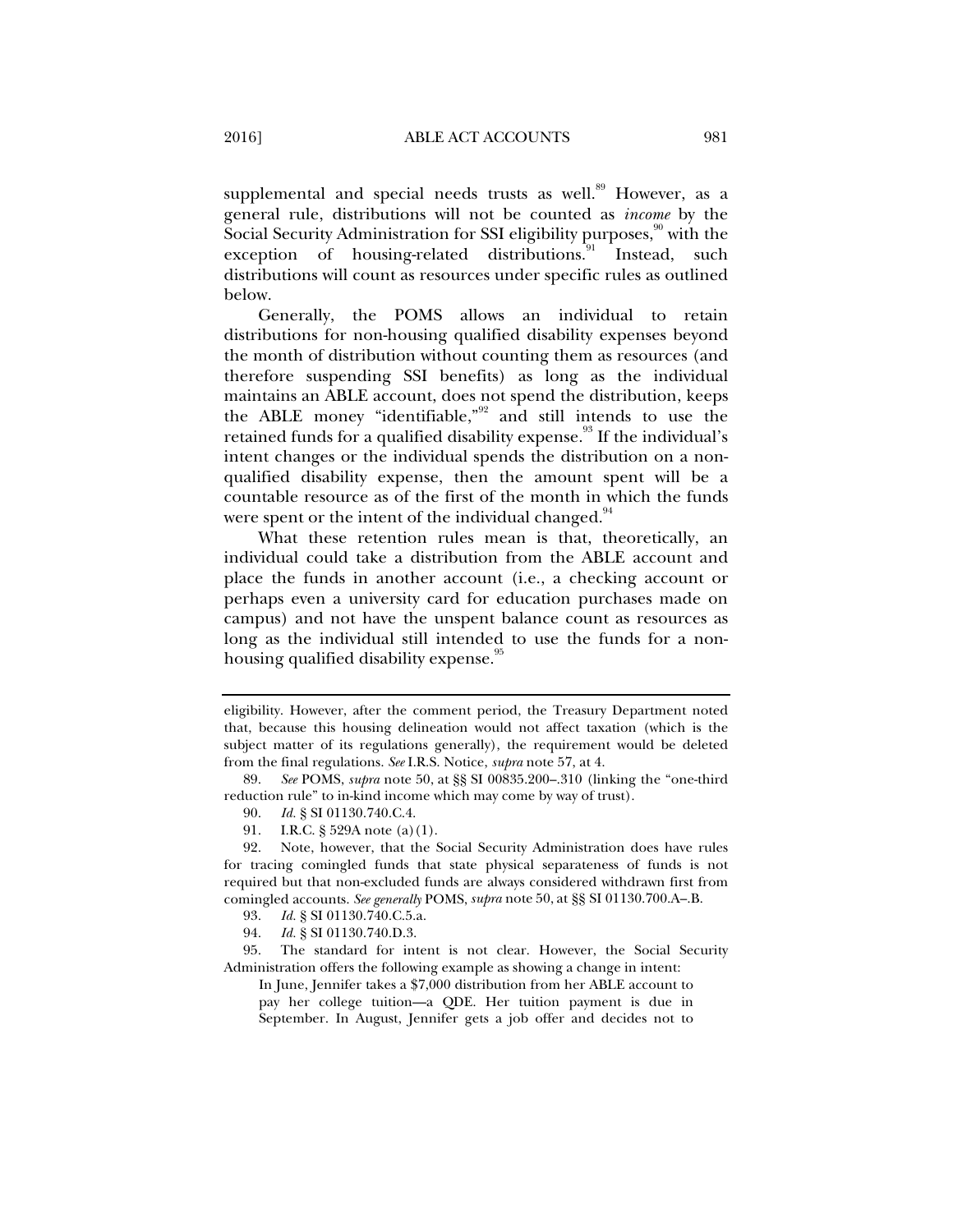supplemental and special needs trusts as well.<sup>89</sup> However, as a general rule, distributions will not be counted as *income* by the Social Security Administration for SSI eligibility purposes,<sup>90</sup> with the exception of housing-related distributions.<sup>91</sup> Instead, such distributions will count as resources under specific rules as outlined below.

Generally, the POMS allows an individual to retain distributions for non-housing qualified disability expenses beyond the month of distribution without counting them as resources (and therefore suspending SSI benefits) as long as the individual maintains an ABLE account, does not spend the distribution, keeps the ABLE money "identifiable," $92$  and still intends to use the retained funds for a qualified disability expense.<sup>93</sup> If the individual's intent changes or the individual spends the distribution on a nonqualified disability expense, then the amount spent will be a countable resource as of the first of the month in which the funds were spent or the intent of the individual changed.<sup>94</sup>

What these retention rules mean is that, theoretically, an individual could take a distribution from the ABLE account and place the funds in another account (i.e., a checking account or perhaps even a university card for education purchases made on campus) and not have the unspent balance count as resources as long as the individual still intended to use the funds for a nonhousing qualified disability expense.<sup>95</sup>

94. *Id.* § SI 01130.740.D.3.

 95. The standard for intent is not clear. However, the Social Security Administration offers the following example as showing a change in intent:

In June, Jennifer takes a \$7,000 distribution from her ABLE account to pay her college tuition—a QDE. Her tuition payment is due in September. In August, Jennifer gets a job offer and decides not to

eligibility. However, after the comment period, the Treasury Department noted that, because this housing delineation would not affect taxation (which is the subject matter of its regulations generally), the requirement would be deleted from the final regulations. *See* I.R.S. Notice, *supra* note 57, at 4.

 <sup>89.</sup> *See* POMS, *supra* note 50, at §§ SI 00835.200–.310 (linking the "one-third reduction rule" to in-kind income which may come by way of trust).

 <sup>90.</sup> *Id.* § SI 01130.740.C.4.

 <sup>91.</sup> I.R.C. § 529A note (a)(1).

 <sup>92.</sup> Note, however, that the Social Security Administration does have rules for tracing comingled funds that state physical separateness of funds is not required but that non-excluded funds are always considered withdrawn first from comingled accounts. *See generally* POMS, *supra* note 50, at §§ SI 01130.700.A–.B.

 <sup>93.</sup> *Id.* § SI 01130.740.C.5.a.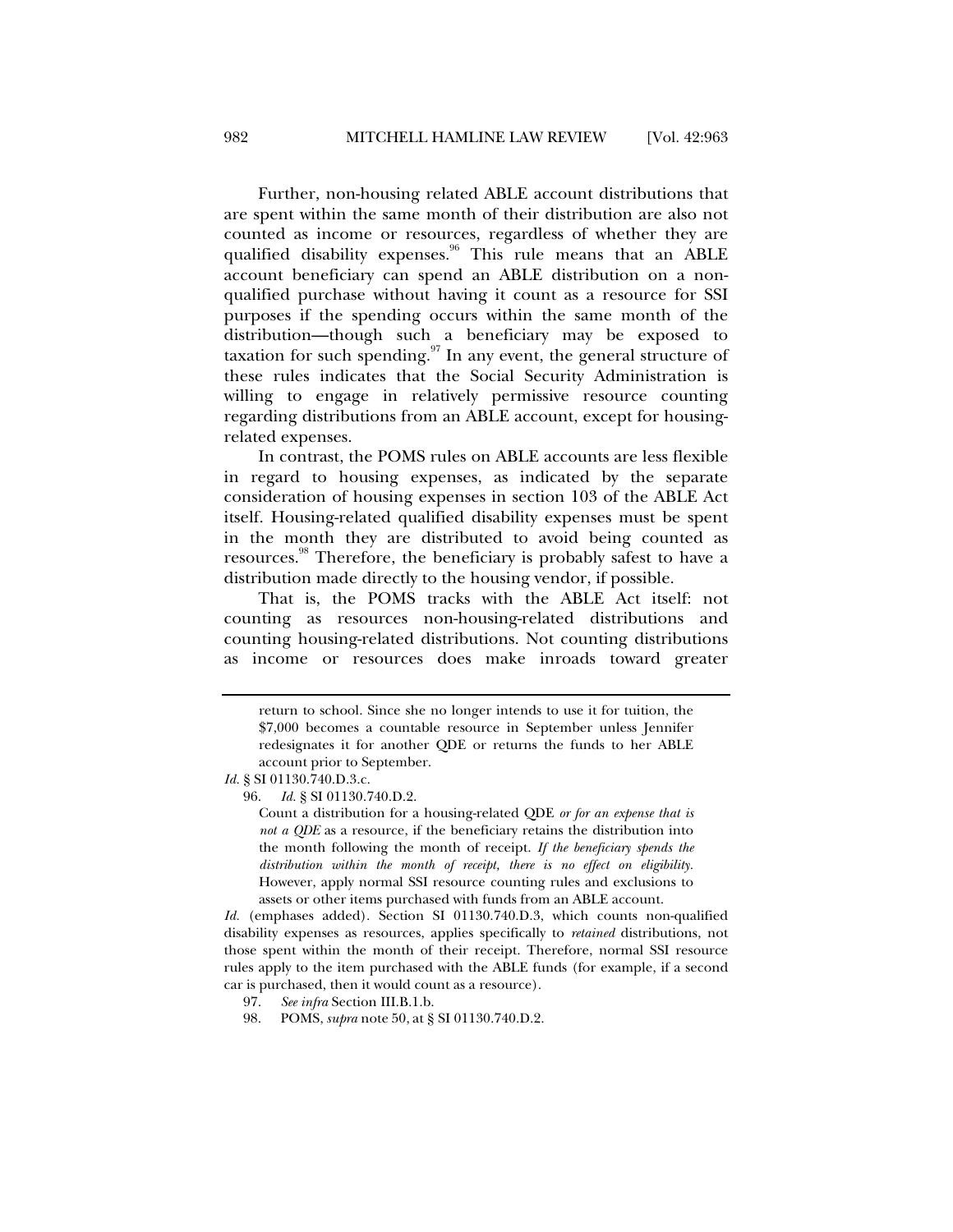Further, non-housing related ABLE account distributions that are spent within the same month of their distribution are also not counted as income or resources, regardless of whether they are qualified disability expenses.<sup>96</sup> This rule means that an ABLE account beneficiary can spend an ABLE distribution on a nonqualified purchase without having it count as a resource for SSI purposes if the spending occurs within the same month of the distribution—though such a beneficiary may be exposed to taxation for such spending.  $\frac{97}{10}$  In any event, the general structure of these rules indicates that the Social Security Administration is willing to engage in relatively permissive resource counting regarding distributions from an ABLE account, except for housingrelated expenses.

In contrast, the POMS rules on ABLE accounts are less flexible in regard to housing expenses, as indicated by the separate consideration of housing expenses in section 103 of the ABLE Act itself. Housing-related qualified disability expenses must be spent in the month they are distributed to avoid being counted as resources.<sup>98</sup> Therefore, the beneficiary is probably safest to have a distribution made directly to the housing vendor, if possible.

That is, the POMS tracks with the ABLE Act itself: not counting as resources non-housing-related distributions and counting housing-related distributions. Not counting distributions as income or resources does make inroads toward greater

Count a distribution for a housing-related QDE *or for an expense that is not a QDE* as a resource, if the beneficiary retains the distribution into the month following the month of receipt. *If the beneficiary spends the distribution within the month of receipt, there is no effect on eligibility.* However, apply normal SSI resource counting rules and exclusions to assets or other items purchased with funds from an ABLE account.

*Id.* (emphases added). Section SI 01130.740.D.3, which counts non-qualified disability expenses as resources, applies specifically to *retained* distributions, not those spent within the month of their receipt. Therefore, normal SSI resource rules apply to the item purchased with the ABLE funds (for example, if a second car is purchased, then it would count as a resource).

- 97. *See infra* Section III.B.1.b.
- 98. POMS, *supra* note 50, at § SI 01130.740.D.2.

return to school. Since she no longer intends to use it for tuition, the \$7,000 becomes a countable resource in September unless Jennifer redesignates it for another QDE or returns the funds to her ABLE account prior to September.

*Id.* § SI 01130.740.D.3.c.

 <sup>96.</sup> *Id.* § SI 01130.740.D.2.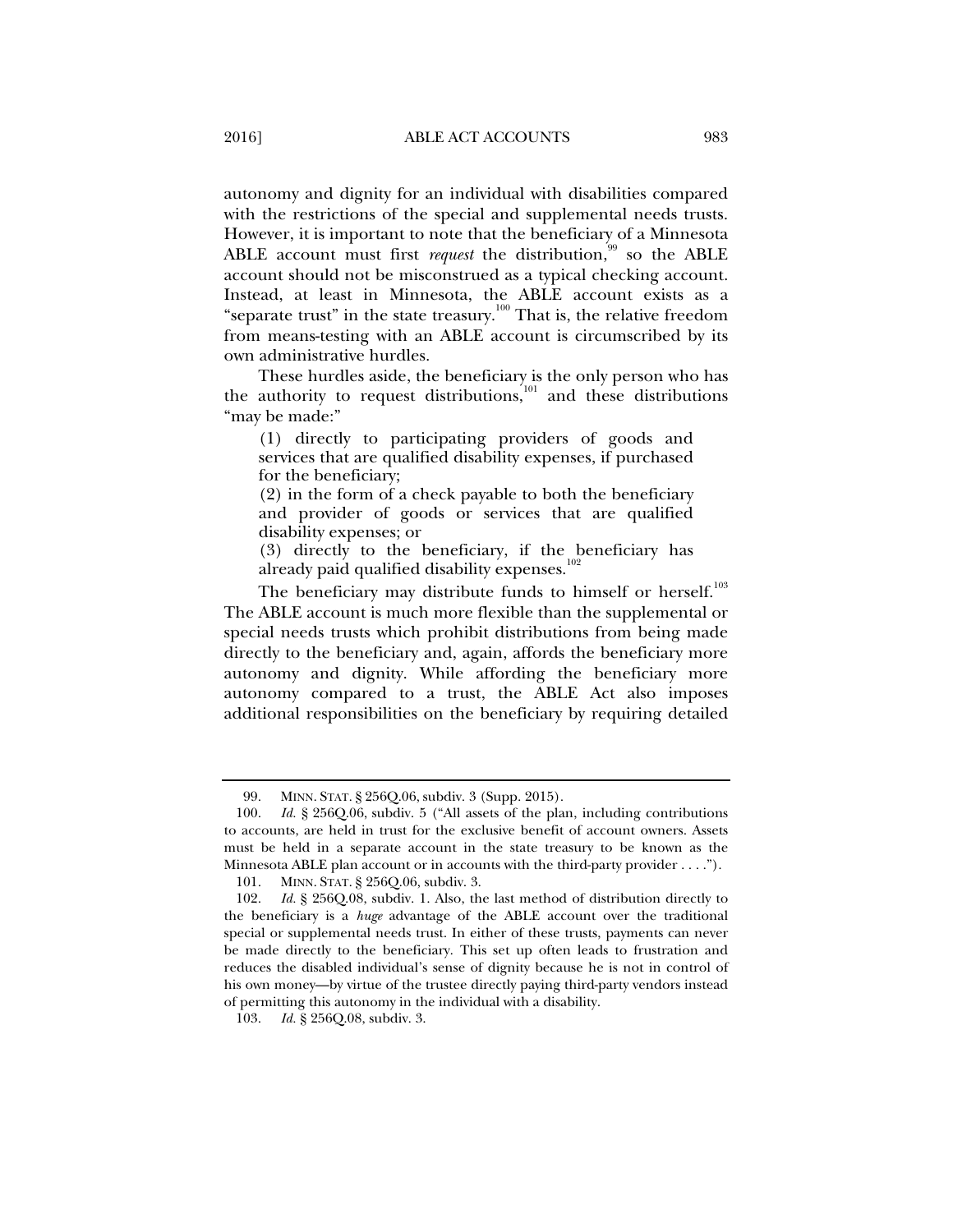autonomy and dignity for an individual with disabilities compared with the restrictions of the special and supplemental needs trusts. However, it is important to note that the beneficiary of a Minnesota ABLE account must first *request* the distribution,<sup>99</sup> so the ABLE account should not be misconstrued as a typical checking account. Instead, at least in Minnesota, the ABLE account exists as a "separate trust" in the state treasury. $100$  That is, the relative freedom from means-testing with an ABLE account is circumscribed by its own administrative hurdles.

These hurdles aside, the beneficiary is the only person who has the authority to request distributions, $101$  and these distributions "may be made:"

(1) directly to participating providers of goods and services that are qualified disability expenses, if purchased for the beneficiary;

(2) in the form of a check payable to both the beneficiary and provider of goods or services that are qualified disability expenses; or

(3) directly to the beneficiary, if the beneficiary has already paid qualified disability expenses.<sup>1</sup>

The beneficiary may distribute funds to himself or herself.<sup>103</sup> The ABLE account is much more flexible than the supplemental or special needs trusts which prohibit distributions from being made directly to the beneficiary and, again, affords the beneficiary more autonomy and dignity. While affording the beneficiary more autonomy compared to a trust, the ABLE Act also imposes additional responsibilities on the beneficiary by requiring detailed

 <sup>99.</sup> MINN. STAT. § 256Q.06, subdiv. 3 (Supp. 2015).

 <sup>100.</sup> *Id.* § 256Q.06, subdiv. 5 ("All assets of the plan, including contributions to accounts, are held in trust for the exclusive benefit of account owners. Assets must be held in a separate account in the state treasury to be known as the Minnesota ABLE plan account or in accounts with the third-party provider . . . .").

 <sup>101.</sup> MINN. STAT. § 256Q.06, subdiv. 3.

 <sup>102.</sup> *Id.* § 256Q.08, subdiv. 1. Also, the last method of distribution directly to the beneficiary is a *huge* advantage of the ABLE account over the traditional special or supplemental needs trust. In either of these trusts, payments can never be made directly to the beneficiary. This set up often leads to frustration and reduces the disabled individual's sense of dignity because he is not in control of his own money—by virtue of the trustee directly paying third-party vendors instead of permitting this autonomy in the individual with a disability.

 <sup>103.</sup> *Id.* § 256Q.08, subdiv. 3.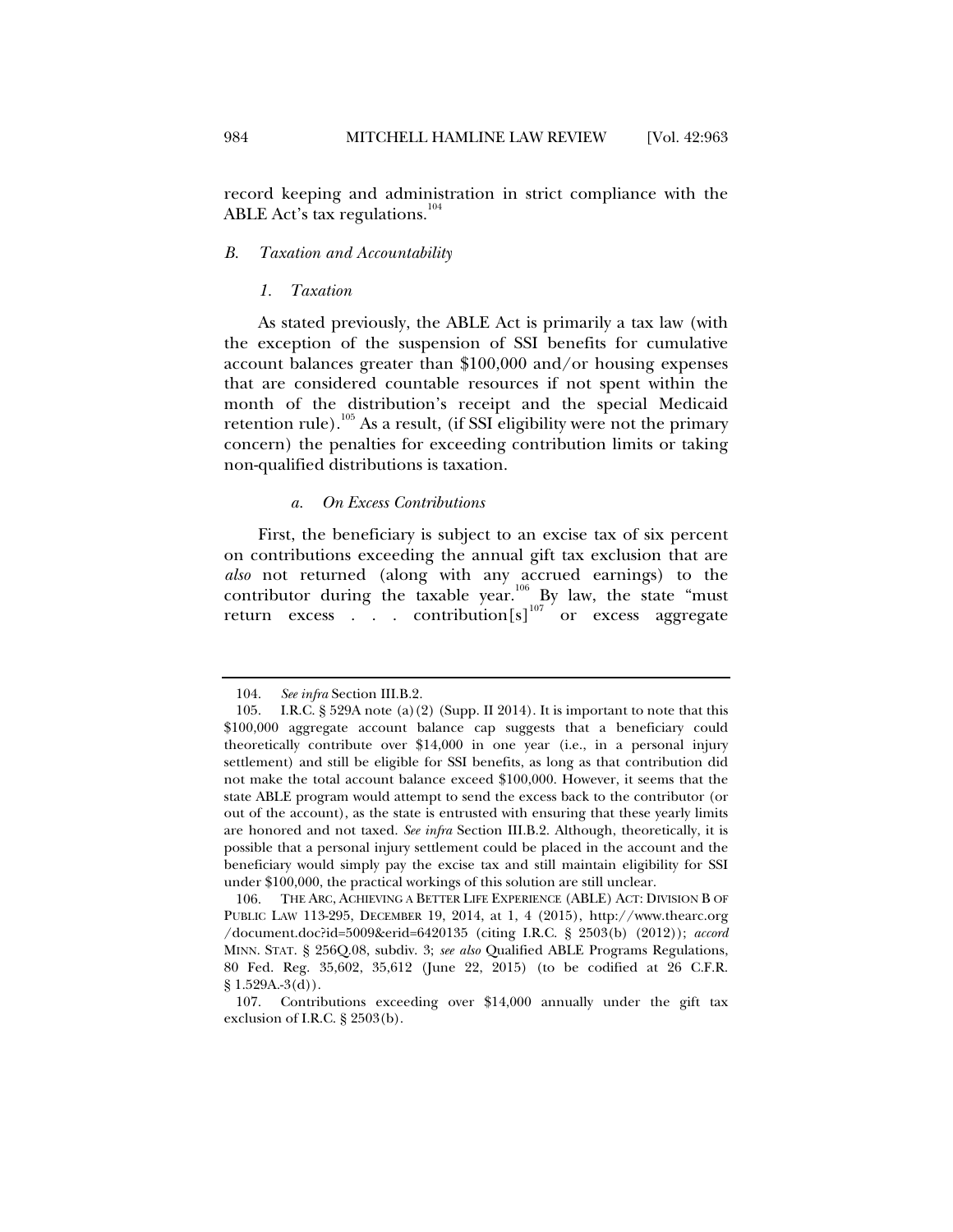record keeping and administration in strict compliance with the ABLE Act's tax regulations.<sup>104</sup>

## *B. Taxation and Accountability*

*1. Taxation* 

As stated previously, the ABLE Act is primarily a tax law (with the exception of the suspension of SSI benefits for cumulative account balances greater than \$100,000 and/or housing expenses that are considered countable resources if not spent within the month of the distribution's receipt and the special Medicaid retention rule).<sup>105</sup> As a result, (if SSI eligibility were not the primary concern) the penalties for exceeding contribution limits or taking non-qualified distributions is taxation.

#### *a. On Excess Contributions*

First, the beneficiary is subject to an excise tax of six percent on contributions exceeding the annual gift tax exclusion that are *also* not returned (along with any accrued earnings) to the contributor during the taxable year.<sup>106</sup> By law, the state "must" return excess  $\ldots$  contribution[s]<sup>107</sup> or excess aggregate

 <sup>104.</sup> *See infra* Section III.B.2.

 <sup>105.</sup> I.R.C. § 529A note (a)(2) (Supp. II 2014). It is important to note that this \$100,000 aggregate account balance cap suggests that a beneficiary could theoretically contribute over \$14,000 in one year (i.e., in a personal injury settlement) and still be eligible for SSI benefits, as long as that contribution did not make the total account balance exceed \$100,000. However, it seems that the state ABLE program would attempt to send the excess back to the contributor (or out of the account), as the state is entrusted with ensuring that these yearly limits are honored and not taxed. *See infra* Section III.B.2. Although, theoretically, it is possible that a personal injury settlement could be placed in the account and the beneficiary would simply pay the excise tax and still maintain eligibility for SSI under \$100,000, the practical workings of this solution are still unclear.

 <sup>106.</sup> THE ARC, ACHIEVING A BETTER LIFE EXPERIENCE (ABLE) ACT: DIVISION B OF PUBLIC LAW 113-295, DECEMBER 19, 2014, at 1, 4 (2015), http://www.thearc.org /document.doc?id=5009&erid=6420135 (citing I.R.C. § 2503(b) (2012)); *accord*  MINN. STAT. § 256Q.08, subdiv. 3; *see also* Qualified ABLE Programs Regulations, 80 Fed. Reg. 35,602, 35,612 (June 22, 2015) (to be codified at 26 C.F.R.  $§ 1.529A.-3(d)).$ 

 <sup>107.</sup> Contributions exceeding over \$14,000 annually under the gift tax exclusion of I.R.C. § 2503(b).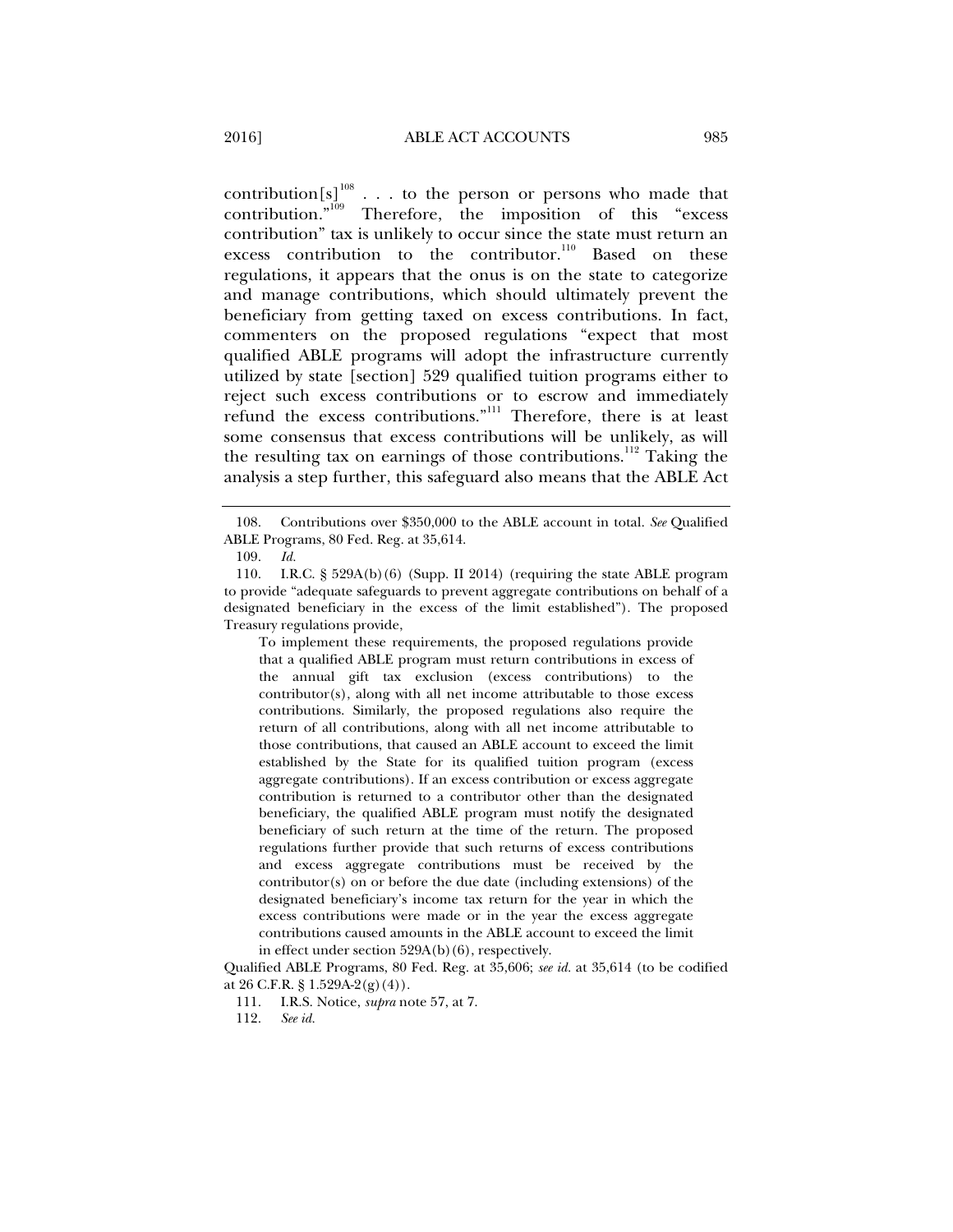$\text{contribution[s]}^{108}$  . . . to the person or persons who made that  $\text{contribution.}^{\text{109}}$  Therefore, the imposition of this "excess" contribution" tax is unlikely to occur since the state must return an excess contribution to the contributor.<sup>110</sup> Based on these regulations, it appears that the onus is on the state to categorize and manage contributions, which should ultimately prevent the beneficiary from getting taxed on excess contributions. In fact, commenters on the proposed regulations "expect that most qualified ABLE programs will adopt the infrastructure currently utilized by state [section] 529 qualified tuition programs either to reject such excess contributions or to escrow and immediately refund the excess contributions."111 Therefore, there is at least some consensus that excess contributions will be unlikely, as will the resulting tax on earnings of those contributions.<sup>112</sup> Taking the analysis a step further, this safeguard also means that the ABLE Act

To implement these requirements, the proposed regulations provide that a qualified ABLE program must return contributions in excess of the annual gift tax exclusion (excess contributions) to the contributor(s), along with all net income attributable to those excess contributions. Similarly, the proposed regulations also require the return of all contributions, along with all net income attributable to those contributions, that caused an ABLE account to exceed the limit established by the State for its qualified tuition program (excess aggregate contributions). If an excess contribution or excess aggregate contribution is returned to a contributor other than the designated beneficiary, the qualified ABLE program must notify the designated beneficiary of such return at the time of the return. The proposed regulations further provide that such returns of excess contributions and excess aggregate contributions must be received by the contributor(s) on or before the due date (including extensions) of the designated beneficiary's income tax return for the year in which the excess contributions were made or in the year the excess aggregate contributions caused amounts in the ABLE account to exceed the limit in effect under section 529A(b)(6), respectively.

Qualified ABLE Programs, 80 Fed. Reg. at 35,606; *see id.* at 35,614 (to be codified at 26 C.F.R. § 1.529A-2(g)(4)).

111. I.R.S. Notice, *supra* note 57, at 7.

 <sup>108.</sup> Contributions over \$350,000 to the ABLE account in total. *See* Qualified ABLE Programs, 80 Fed. Reg. at 35,614.

 <sup>109.</sup> *Id.*

 <sup>110.</sup> I.R.C. § 529A(b)(6) (Supp. II 2014) (requiring the state ABLE program to provide "adequate safeguards to prevent aggregate contributions on behalf of a designated beneficiary in the excess of the limit established"). The proposed Treasury regulations provide,

 <sup>112.</sup> *See id.*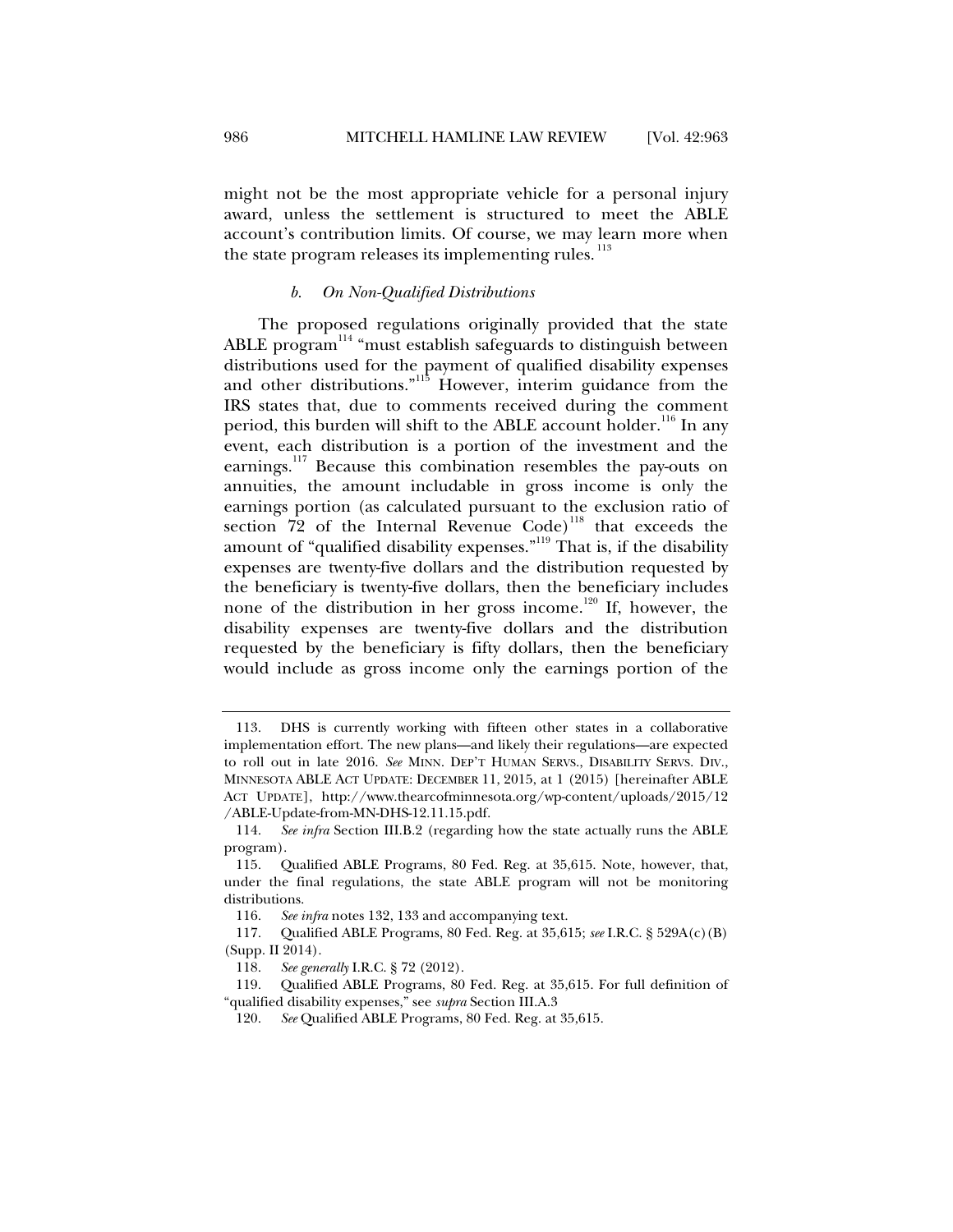might not be the most appropriate vehicle for a personal injury award, unless the settlement is structured to meet the ABLE account's contribution limits. Of course, we may learn more when the state program releases its implementing rules.<sup>113</sup>

# *b. On Non-Qualified Distributions*

The proposed regulations originally provided that the state ABLE program<sup>114</sup> "must establish safeguards to distinguish between distributions used for the payment of qualified disability expenses and other distributions."115 However, interim guidance from the IRS states that, due to comments received during the comment period, this burden will shift to the ABLE account holder.<sup>116</sup> In any event, each distribution is a portion of the investment and the earnings.<sup>117</sup> Because this combination resembles the pay-outs on annuities, the amount includable in gross income is only the earnings portion (as calculated pursuant to the exclusion ratio of section  $72$  of the Internal Revenue Code)<sup>118</sup> that exceeds the amount of "qualified disability expenses."<sup>119</sup> That is, if the disability expenses are twenty-five dollars and the distribution requested by the beneficiary is twenty-five dollars, then the beneficiary includes none of the distribution in her gross income.120 If, however, the disability expenses are twenty-five dollars and the distribution requested by the beneficiary is fifty dollars, then the beneficiary would include as gross income only the earnings portion of the

 <sup>113.</sup> DHS is currently working with fifteen other states in a collaborative implementation effort. The new plans—and likely their regulations—are expected to roll out in late 2016. *See* MINN. DEP'T HUMAN SERVS., DISABILITY SERVS. DIV., MINNESOTA ABLE ACT UPDATE: DECEMBER 11, 2015, at 1 (2015) [hereinafter ABLE ACT UPDATE], http://www.thearcofminnesota.org/wp-content/uploads/2015/12 /ABLE-Update-from-MN-DHS-12.11.15.pdf.

 <sup>114.</sup> *See infra* Section III.B.2 (regarding how the state actually runs the ABLE program).

 <sup>115.</sup> Qualified ABLE Programs, 80 Fed. Reg. at 35,615. Note, however, that, under the final regulations, the state ABLE program will not be monitoring distributions.

 <sup>116.</sup> *See infra* notes 132, 133 and accompanying text.

 <sup>117.</sup> Qualified ABLE Programs, 80 Fed. Reg. at 35,615; *see* I.R.C. § 529A(c)(B) (Supp. II 2014).

 <sup>118.</sup> *See generally* I.R.C. § 72 (2012).

 <sup>119.</sup> Qualified ABLE Programs, 80 Fed. Reg. at 35,615. For full definition of "qualified disability expenses," see *supra* Section III.A.3

 <sup>120.</sup> *See* Qualified ABLE Programs, 80 Fed. Reg. at 35,615.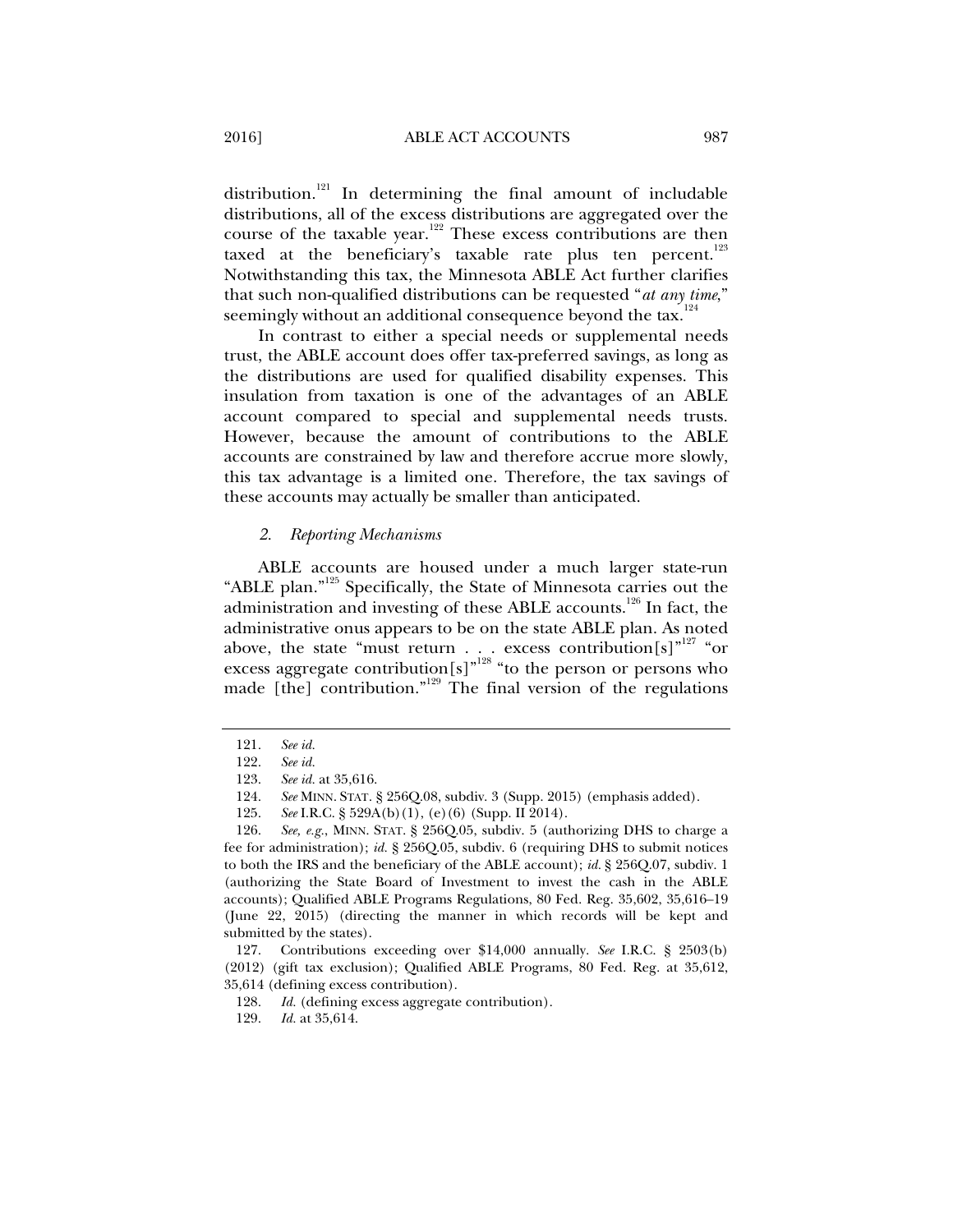distribution.<sup>121</sup> In determining the final amount of includable distributions, all of the excess distributions are aggregated over the course of the taxable year.122 These excess contributions are then taxed at the beneficiary's taxable rate plus ten percent.<sup>123</sup> Notwithstanding this tax, the Minnesota ABLE Act further clarifies that such non-qualified distributions can be requested "*at any time*," seemingly without an additional consequence beyond the tax. $124$ 

In contrast to either a special needs or supplemental needs trust, the ABLE account does offer tax-preferred savings, as long as the distributions are used for qualified disability expenses. This insulation from taxation is one of the advantages of an ABLE account compared to special and supplemental needs trusts. However, because the amount of contributions to the ABLE accounts are constrained by law and therefore accrue more slowly, this tax advantage is a limited one. Therefore, the tax savings of these accounts may actually be smaller than anticipated.

#### *2. Reporting Mechanisms*

ABLE accounts are housed under a much larger state-run "ABLE plan."<sup>125</sup> Specifically, the State of Minnesota carries out the administration and investing of these ABLE accounts.<sup>126</sup> In fact, the administrative onus appears to be on the state ABLE plan. As noted above, the state "must return . . . excess contribution $[s]^{n^{127}}$  "or excess aggregate contribution[s]"<sup>128</sup> "to the person or persons who made [the] contribution."<sup>129</sup> The final version of the regulations

 <sup>121.</sup> *See id.*

 <sup>122.</sup> *See id.*

 <sup>123.</sup> *See id.* at 35,616.

 <sup>124.</sup> *See* MINN. STAT. § 256Q.08, subdiv. 3 (Supp. 2015) (emphasis added).

 <sup>125.</sup> *See* I.R.C. § 529A(b)(1), (e)(6) (Supp. II 2014).

 <sup>126.</sup> *See, e.g.*, MINN. STAT. § 256Q.05, subdiv. 5 (authorizing DHS to charge a fee for administration); *id.* § 256Q.05, subdiv. 6 (requiring DHS to submit notices to both the IRS and the beneficiary of the ABLE account); *id.* § 256Q.07, subdiv. 1 (authorizing the State Board of Investment to invest the cash in the ABLE accounts); Qualified ABLE Programs Regulations, 80 Fed. Reg. 35,602, 35,616–19 (June 22, 2015) (directing the manner in which records will be kept and submitted by the states).

 <sup>127.</sup> Contributions exceeding over \$14,000 annually. *See* I.R.C. § 2503(b) (2012) (gift tax exclusion); Qualified ABLE Programs, 80 Fed. Reg. at 35,612, 35,614 (defining excess contribution).

 <sup>128.</sup> *Id.* (defining excess aggregate contribution).

 <sup>129.</sup> *Id.* at 35,614.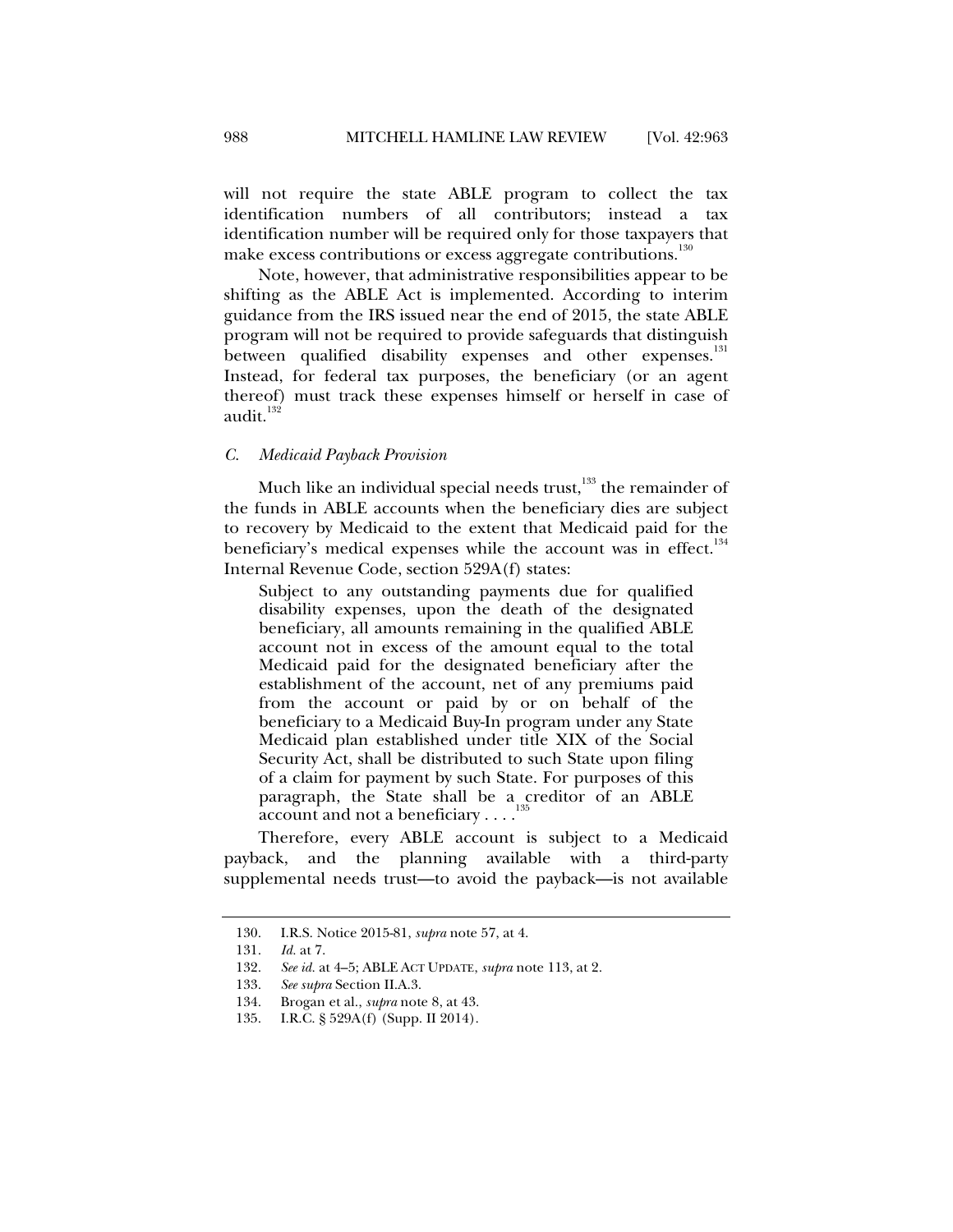will not require the state ABLE program to collect the tax identification numbers of all contributors; instead a tax identification number will be required only for those taxpayers that make excess contributions or excess aggregate contributions.<sup>130</sup>

Note, however, that administrative responsibilities appear to be shifting as the ABLE Act is implemented. According to interim guidance from the IRS issued near the end of 2015, the state ABLE program will not be required to provide safeguards that distinguish between qualified disability expenses and other expenses.<sup>131</sup> Instead, for federal tax purposes, the beneficiary (or an agent thereof) must track these expenses himself or herself in case of audit. $132$ 

#### *C. Medicaid Payback Provision*

Much like an individual special needs trust, $133$  the remainder of the funds in ABLE accounts when the beneficiary dies are subject to recovery by Medicaid to the extent that Medicaid paid for the beneficiary's medical expenses while the account was in effect. $134$ Internal Revenue Code, section 529A(f) states:

Subject to any outstanding payments due for qualified disability expenses, upon the death of the designated beneficiary, all amounts remaining in the qualified ABLE account not in excess of the amount equal to the total Medicaid paid for the designated beneficiary after the establishment of the account, net of any premiums paid from the account or paid by or on behalf of the beneficiary to a Medicaid Buy-In program under any State Medicaid plan established under title XIX of the Social Security Act, shall be distributed to such State upon filing of a claim for payment by such State. For purposes of this paragraph, the State shall be a creditor of an ABLE account and not a beneficiary . . . .

Therefore, every ABLE account is subject to a Medicaid payback, and the planning available with a third-party supplemental needs trust—to avoid the payback—is not available

 <sup>130.</sup> I.R.S. Notice 2015-81, *supra* note 57, at 4.

 <sup>131.</sup> *Id.* at 7.

 <sup>132.</sup> *See id.* at 4–5; ABLE ACT UPDATE, *supra* note 113, at 2.

 <sup>133.</sup> *See supra* Section II.A.3.

 <sup>134.</sup> Brogan et al., *supra* note 8, at 43.

 <sup>135.</sup> I.R.C. § 529A(f) (Supp. II 2014).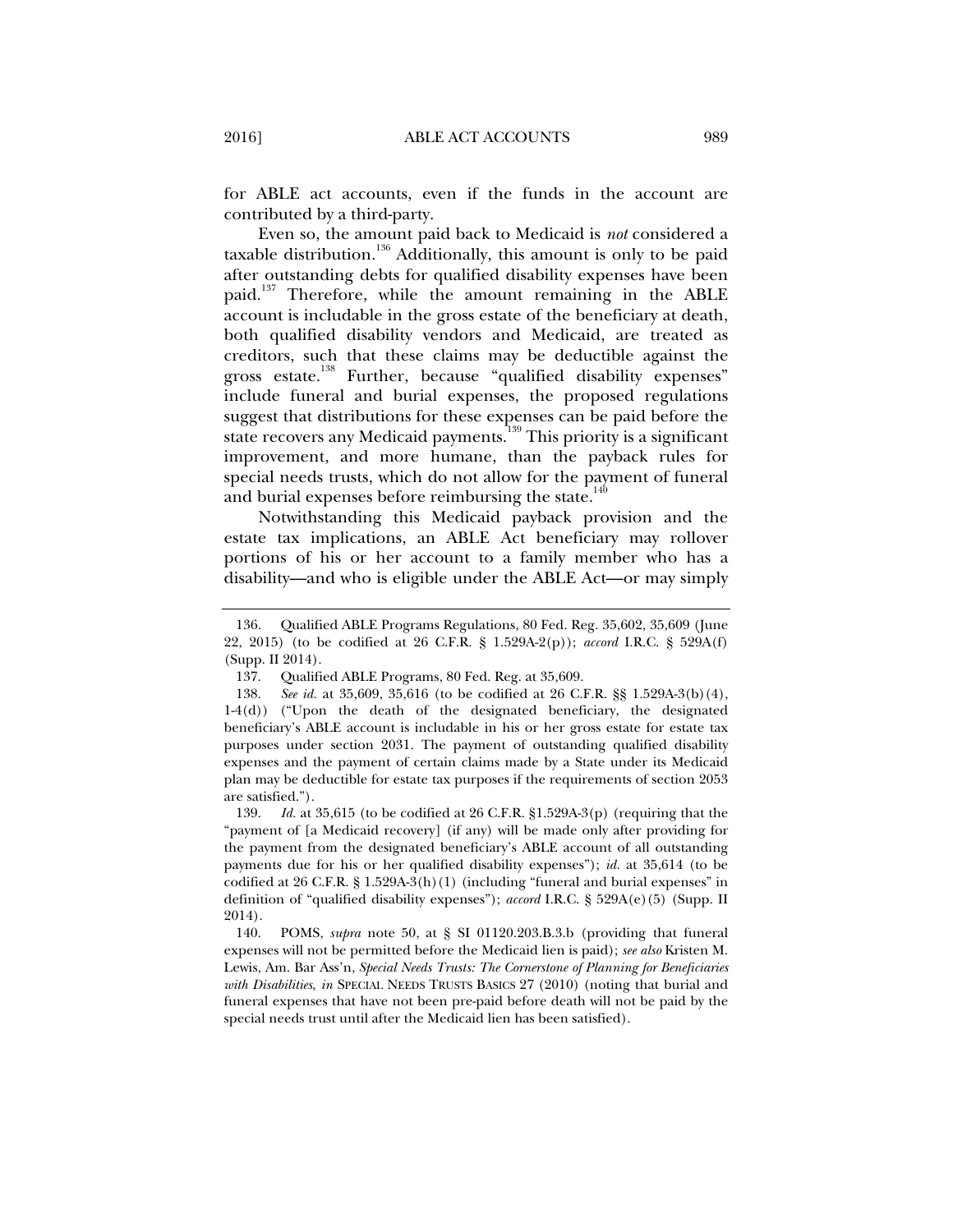for ABLE act accounts, even if the funds in the account are contributed by a third-party.

Even so, the amount paid back to Medicaid is *not* considered a taxable distribution.<sup>136</sup> Additionally, this amount is only to be paid after outstanding debts for qualified disability expenses have been paid.<sup>137</sup> Therefore, while the amount remaining in the ABLE account is includable in the gross estate of the beneficiary at death, both qualified disability vendors and Medicaid, are treated as creditors, such that these claims may be deductible against the gross estate.<sup>138</sup> Further, because "qualified disability expenses" include funeral and burial expenses, the proposed regulations suggest that distributions for these expenses can be paid before the state recovers any Medicaid payments.<sup>139</sup> This priority is a significant improvement, and more humane, than the payback rules for special needs trusts, which do not allow for the payment of funeral and burial expenses before reimbursing the state.<sup>140</sup>

Notwithstanding this Medicaid payback provision and the estate tax implications, an ABLE Act beneficiary may rollover portions of his or her account to a family member who has a disability—and who is eligible under the ABLE Act—or may simply

 <sup>136.</sup> Qualified ABLE Programs Regulations, 80 Fed. Reg. 35,602, 35,609 (June 22, 2015) (to be codified at 26 C.F.R. § 1.529A-2(p)); *accord* I.R.C. § 529A(f) (Supp. II 2014).

 <sup>137.</sup> Qualified ABLE Programs, 80 Fed. Reg. at 35,609.

 <sup>138.</sup> *See id.* at 35,609, 35,616 (to be codified at 26 C.F.R. §§ 1.529A-3(b)(4), 1-4(d)) ("Upon the death of the designated beneficiary, the designated beneficiary's ABLE account is includable in his or her gross estate for estate tax purposes under section 2031. The payment of outstanding qualified disability expenses and the payment of certain claims made by a State under its Medicaid plan may be deductible for estate tax purposes if the requirements of section 2053 are satisfied.").

 <sup>139.</sup> *Id.* at 35,615 (to be codified at 26 C.F.R. §1.529A-3(p) (requiring that the "payment of [a Medicaid recovery] (if any) will be made only after providing for the payment from the designated beneficiary's ABLE account of all outstanding payments due for his or her qualified disability expenses"); *id.* at 35,614 (to be codified at 26 C.F.R. § 1.529A-3(h)(1) (including "funeral and burial expenses" in definition of "qualified disability expenses"); *accord* I.R.C. § 529A(e)(5) (Supp. II 2014).

 <sup>140.</sup> POMS, *supra* note 50, at § SI 01120.203.B.3.b (providing that funeral expenses will not be permitted before the Medicaid lien is paid); *see also* Kristen M. Lewis, Am. Bar Ass'n, *Special Needs Trusts: The Cornerstone of Planning for Beneficiaries with Disabilities*, *in* SPECIAL NEEDS TRUSTS BASICS 27 (2010) (noting that burial and funeral expenses that have not been pre-paid before death will not be paid by the special needs trust until after the Medicaid lien has been satisfied).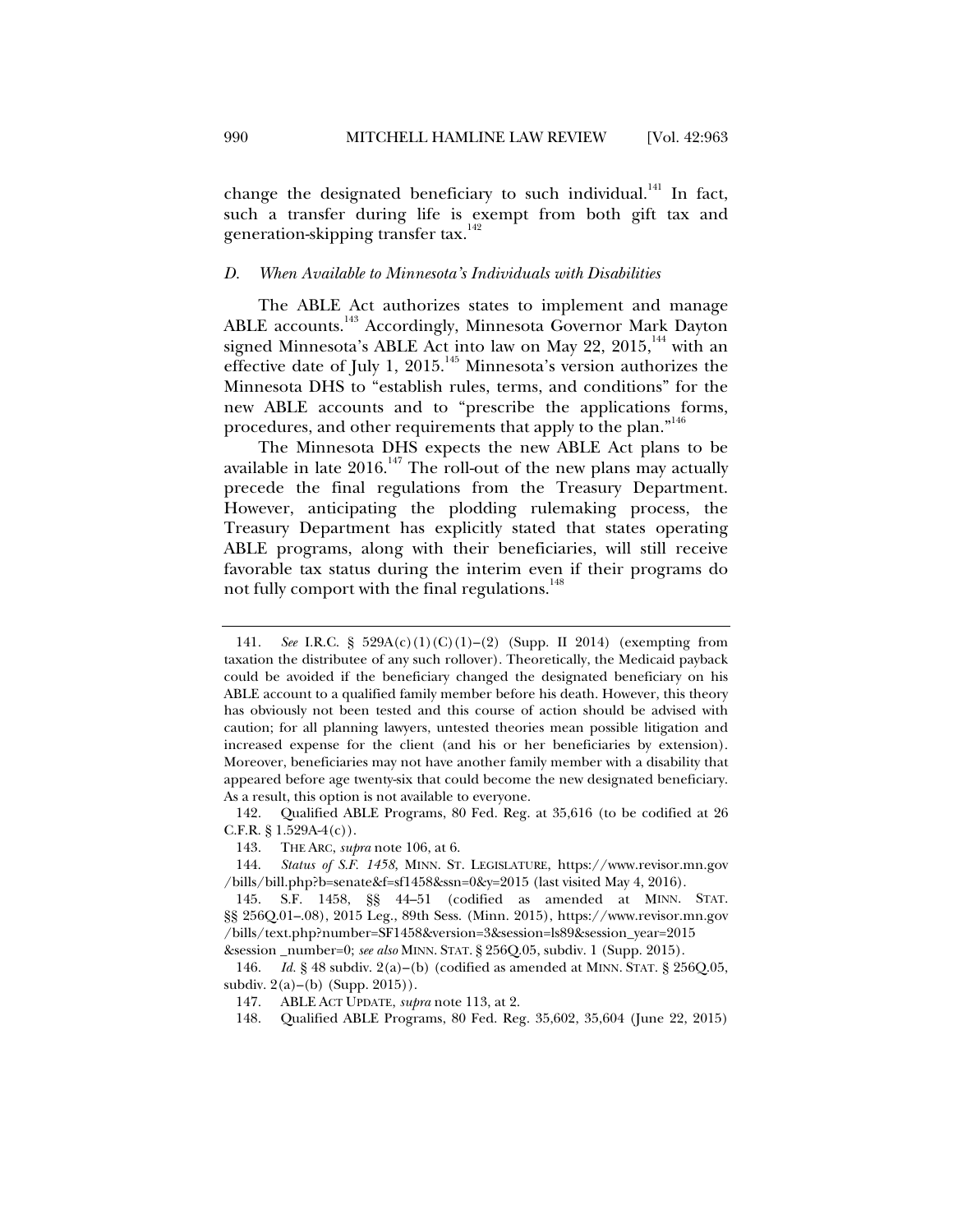change the designated beneficiary to such individual.<sup>141</sup> In fact, such a transfer during life is exempt from both gift tax and generation-skipping transfer tax.<sup>142</sup>

#### *D. When Available to Minnesota's Individuals with Disabilities*

The ABLE Act authorizes states to implement and manage ABLE accounts.<sup>143</sup> Accordingly, Minnesota Governor Mark Dayton signed Minnesota's ABLE Act into law on May 22, 2015,<sup>144</sup> with an effective date of July 1, 2015.<sup>145</sup> Minnesota's version authorizes the Minnesota DHS to "establish rules, terms, and conditions" for the new ABLE accounts and to "prescribe the applications forms, procedures, and other requirements that apply to the plan."<sup>146</sup>

The Minnesota DHS expects the new ABLE Act plans to be available in late  $2016$ .<sup>147</sup> The roll-out of the new plans may actually precede the final regulations from the Treasury Department. However, anticipating the plodding rulemaking process, the Treasury Department has explicitly stated that states operating ABLE programs, along with their beneficiaries, will still receive favorable tax status during the interim even if their programs do not fully comport with the final regulations.<sup>148</sup>

 <sup>141.</sup> *See* I.R.C. § 529A(c)(1)(C)(1)–(2) (Supp. II 2014) (exempting from taxation the distributee of any such rollover). Theoretically, the Medicaid payback could be avoided if the beneficiary changed the designated beneficiary on his ABLE account to a qualified family member before his death. However, this theory has obviously not been tested and this course of action should be advised with caution; for all planning lawyers, untested theories mean possible litigation and increased expense for the client (and his or her beneficiaries by extension). Moreover, beneficiaries may not have another family member with a disability that appeared before age twenty-six that could become the new designated beneficiary. As a result, this option is not available to everyone.

 <sup>142.</sup> Qualified ABLE Programs, 80 Fed. Reg. at 35,616 (to be codified at 26 C.F.R.  $\S 1.529A-4(c)$ .

 <sup>143.</sup> THE ARC, *supra* note 106, at 6.

 <sup>144.</sup> *Status of S.F. 1458*, MINN. ST. LEGISLATURE, https://www.revisor.mn.gov /bills/bill.php?b=senate&f=sf1458&ssn=0&y=2015 (last visited May 4, 2016).

 <sup>145.</sup> S.F. 1458, §§ 44–51 (codified as amended at MINN. STAT. §§ 256Q.01–.08), 2015 Leg., 89th Sess. (Minn. 2015), https://www.revisor.mn.gov /bills/text.php?number=SF1458&version=3&session=ls89&session\_year=2015 &session \_number=0; *see also* MINN. STAT. § 256Q.05, subdiv. 1 (Supp. 2015).

 <sup>146.</sup> *Id.* § 48 subdiv. 2(a)–(b) (codified as amended at MINN. STAT. § 256Q.05, subdiv.  $2(a)$ –(b) (Supp. 2015)).

 <sup>147.</sup> ABLE ACT UPDATE, *supra* note 113, at 2.

 <sup>148.</sup> Qualified ABLE Programs, 80 Fed. Reg. 35,602, 35,604 (June 22, 2015)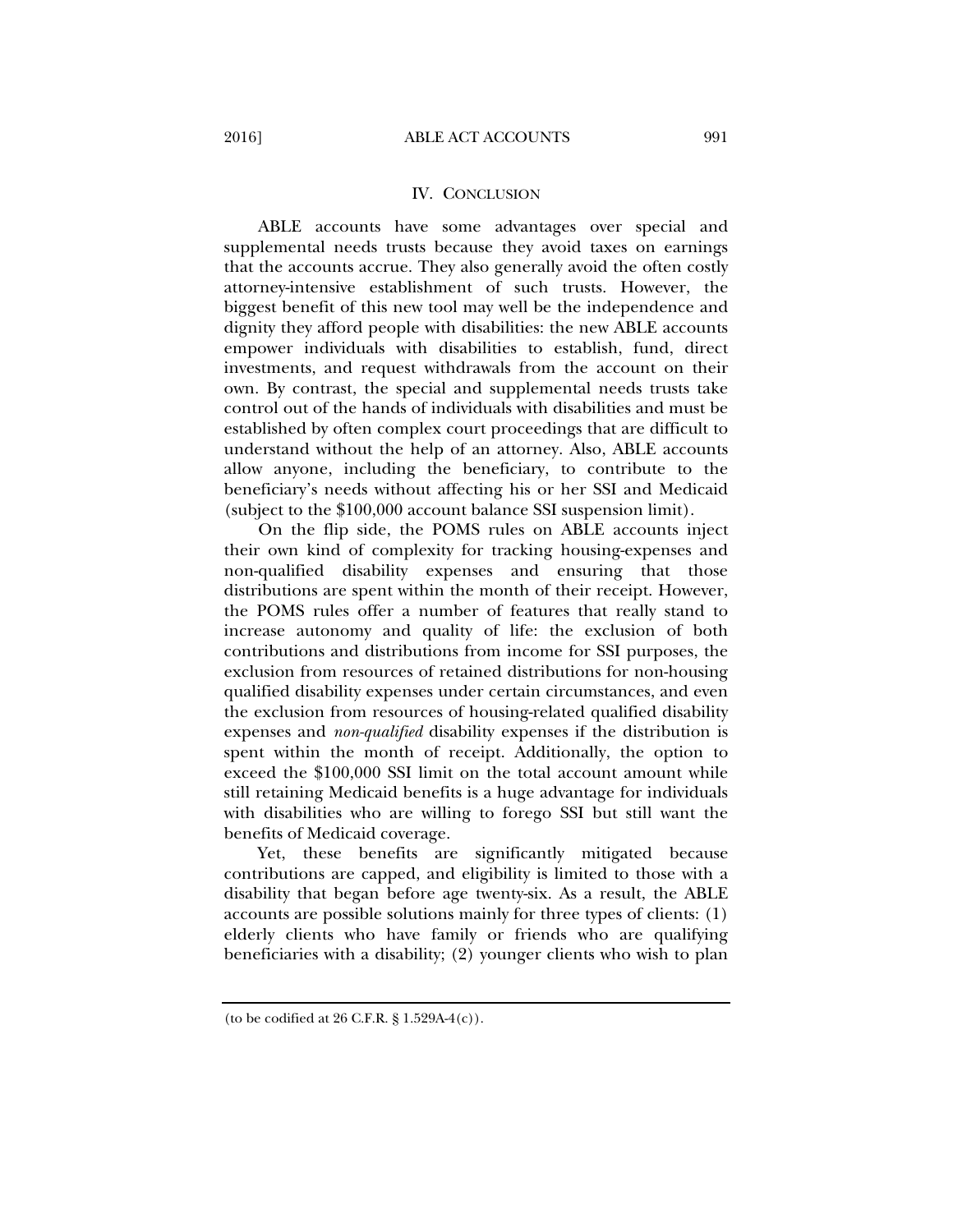#### IV. CONCLUSION

ABLE accounts have some advantages over special and supplemental needs trusts because they avoid taxes on earnings that the accounts accrue. They also generally avoid the often costly attorney-intensive establishment of such trusts. However, the biggest benefit of this new tool may well be the independence and dignity they afford people with disabilities: the new ABLE accounts empower individuals with disabilities to establish, fund, direct investments, and request withdrawals from the account on their own. By contrast, the special and supplemental needs trusts take control out of the hands of individuals with disabilities and must be established by often complex court proceedings that are difficult to understand without the help of an attorney. Also, ABLE accounts allow anyone, including the beneficiary, to contribute to the beneficiary's needs without affecting his or her SSI and Medicaid (subject to the \$100,000 account balance SSI suspension limit).

On the flip side, the POMS rules on ABLE accounts inject their own kind of complexity for tracking housing-expenses and non-qualified disability expenses and ensuring that those distributions are spent within the month of their receipt. However, the POMS rules offer a number of features that really stand to increase autonomy and quality of life: the exclusion of both contributions and distributions from income for SSI purposes, the exclusion from resources of retained distributions for non-housing qualified disability expenses under certain circumstances, and even the exclusion from resources of housing-related qualified disability expenses and *non-qualified* disability expenses if the distribution is spent within the month of receipt. Additionally, the option to exceed the \$100,000 SSI limit on the total account amount while still retaining Medicaid benefits is a huge advantage for individuals with disabilities who are willing to forego SSI but still want the benefits of Medicaid coverage.

Yet, these benefits are significantly mitigated because contributions are capped, and eligibility is limited to those with a disability that began before age twenty-six. As a result, the ABLE accounts are possible solutions mainly for three types of clients: (1) elderly clients who have family or friends who are qualifying beneficiaries with a disability; (2) younger clients who wish to plan

<sup>(</sup>to be codified at 26 C.F.R. § 1.529A-4(c)).